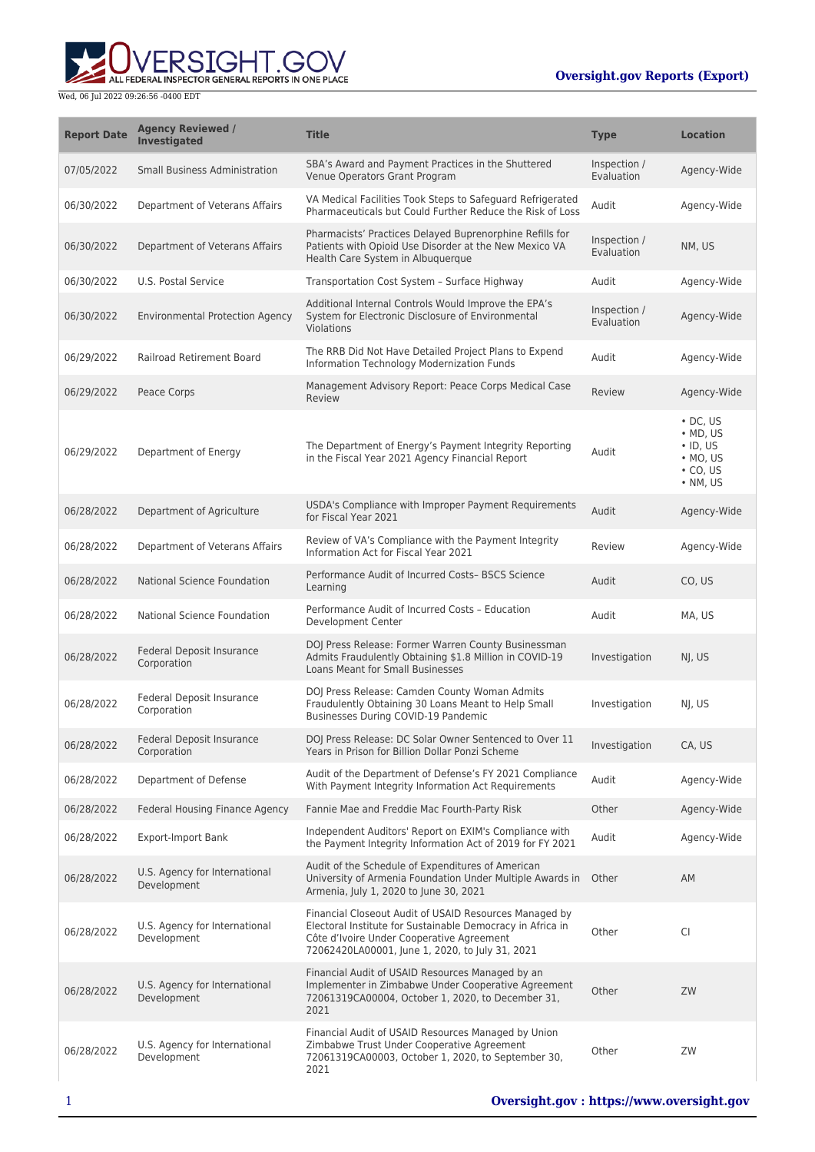

| <b>Report Date</b> | <b>Agency Reviewed /</b><br>Investigated     | <b>Title</b>                                                                                                                                                                                                         | <b>Type</b>                | <b>Location</b>                                                                                  |
|--------------------|----------------------------------------------|----------------------------------------------------------------------------------------------------------------------------------------------------------------------------------------------------------------------|----------------------------|--------------------------------------------------------------------------------------------------|
| 07/05/2022         | <b>Small Business Administration</b>         | SBA's Award and Payment Practices in the Shuttered<br>Venue Operators Grant Program                                                                                                                                  | Inspection /<br>Evaluation | Agency-Wide                                                                                      |
| 06/30/2022         | Department of Veterans Affairs               | VA Medical Facilities Took Steps to Safeguard Refrigerated<br>Pharmaceuticals but Could Further Reduce the Risk of Loss                                                                                              | Audit                      | Agency-Wide                                                                                      |
| 06/30/2022         | Department of Veterans Affairs               | Pharmacists' Practices Delayed Buprenorphine Refills for<br>Patients with Opioid Use Disorder at the New Mexico VA<br>Health Care System in Albuquerque                                                              | Inspection /<br>Evaluation | NM, US                                                                                           |
| 06/30/2022         | U.S. Postal Service                          | Transportation Cost System - Surface Highway                                                                                                                                                                         | Audit                      | Agency-Wide                                                                                      |
| 06/30/2022         | <b>Environmental Protection Agency</b>       | Additional Internal Controls Would Improve the EPA's<br>System for Electronic Disclosure of Environmental<br><b>Violations</b>                                                                                       | Inspection /<br>Evaluation | Agency-Wide                                                                                      |
| 06/29/2022         | Railroad Retirement Board                    | The RRB Did Not Have Detailed Project Plans to Expend<br>Information Technology Modernization Funds                                                                                                                  | Audit                      | Agency-Wide                                                                                      |
| 06/29/2022         | Peace Corps                                  | Management Advisory Report: Peace Corps Medical Case<br>Review                                                                                                                                                       | Review                     | Agency-Wide                                                                                      |
| 06/29/2022         | Department of Energy                         | The Department of Energy's Payment Integrity Reporting<br>in the Fiscal Year 2021 Agency Financial Report                                                                                                            | Audit                      | $\cdot$ DC, US<br>$\bullet$ MD, US<br>$\cdot$ ID, US<br>$·$ MO, US<br>$\cdot$ CO, US<br>• NM, US |
| 06/28/2022         | Department of Agriculture                    | USDA's Compliance with Improper Payment Requirements<br>for Fiscal Year 2021                                                                                                                                         | Audit                      | Agency-Wide                                                                                      |
| 06/28/2022         | Department of Veterans Affairs               | Review of VA's Compliance with the Payment Integrity<br>Information Act for Fiscal Year 2021                                                                                                                         | Review                     | Agency-Wide                                                                                      |
| 06/28/2022         | <b>National Science Foundation</b>           | Performance Audit of Incurred Costs- BSCS Science<br>Learning                                                                                                                                                        | Audit                      | CO, US                                                                                           |
| 06/28/2022         | National Science Foundation                  | Performance Audit of Incurred Costs - Education<br>Development Center                                                                                                                                                | Audit                      | MA, US                                                                                           |
| 06/28/2022         | Federal Deposit Insurance<br>Corporation     | DOJ Press Release: Former Warren County Businessman<br>Admits Fraudulently Obtaining \$1.8 Million in COVID-19<br>Loans Meant for Small Businesses                                                                   | Investigation              | NJ, US                                                                                           |
| 06/28/2022         | Federal Deposit Insurance<br>Corporation     | DOJ Press Release: Camden County Woman Admits<br>Fraudulently Obtaining 30 Loans Meant to Help Small<br>Businesses During COVID-19 Pandemic                                                                          | Investigation              | NJ, US                                                                                           |
| 06/28/2022         | Federal Deposit Insurance<br>Corporation     | DOJ Press Release: DC Solar Owner Sentenced to Over 11<br>Years in Prison for Billion Dollar Ponzi Scheme                                                                                                            | Investigation              | CA, US                                                                                           |
| 06/28/2022         | Department of Defense                        | Audit of the Department of Defense's FY 2021 Compliance<br>With Payment Integrity Information Act Requirements                                                                                                       | Audit                      | Agency-Wide                                                                                      |
| 06/28/2022         | Federal Housing Finance Agency               | Fannie Mae and Freddie Mac Fourth-Party Risk                                                                                                                                                                         | Other                      | Agency-Wide                                                                                      |
| 06/28/2022         | <b>Export-Import Bank</b>                    | Independent Auditors' Report on EXIM's Compliance with<br>the Payment Integrity Information Act of 2019 for FY 2021                                                                                                  | Audit                      | Agency-Wide                                                                                      |
| 06/28/2022         | U.S. Agency for International<br>Development | Audit of the Schedule of Expenditures of American<br>University of Armenia Foundation Under Multiple Awards in<br>Armenia, July 1, 2020 to June 30, 2021                                                             | Other                      | AM                                                                                               |
| 06/28/2022         | U.S. Agency for International<br>Development | Financial Closeout Audit of USAID Resources Managed by<br>Electoral Institute for Sustainable Democracy in Africa in<br>Côte d'Ivoire Under Cooperative Agreement<br>72062420LA00001, June 1, 2020, to July 31, 2021 | Other                      | CI                                                                                               |
| 06/28/2022         | U.S. Agency for International<br>Development | Financial Audit of USAID Resources Managed by an<br>Implementer in Zimbabwe Under Cooperative Agreement<br>72061319CA00004, October 1, 2020, to December 31,<br>2021                                                 | Other                      | ZW                                                                                               |
| 06/28/2022         | U.S. Agency for International<br>Development | Financial Audit of USAID Resources Managed by Union<br>Zimbabwe Trust Under Cooperative Agreement<br>72061319CA00003, October 1, 2020, to September 30,<br>2021                                                      | Other                      | ZW                                                                                               |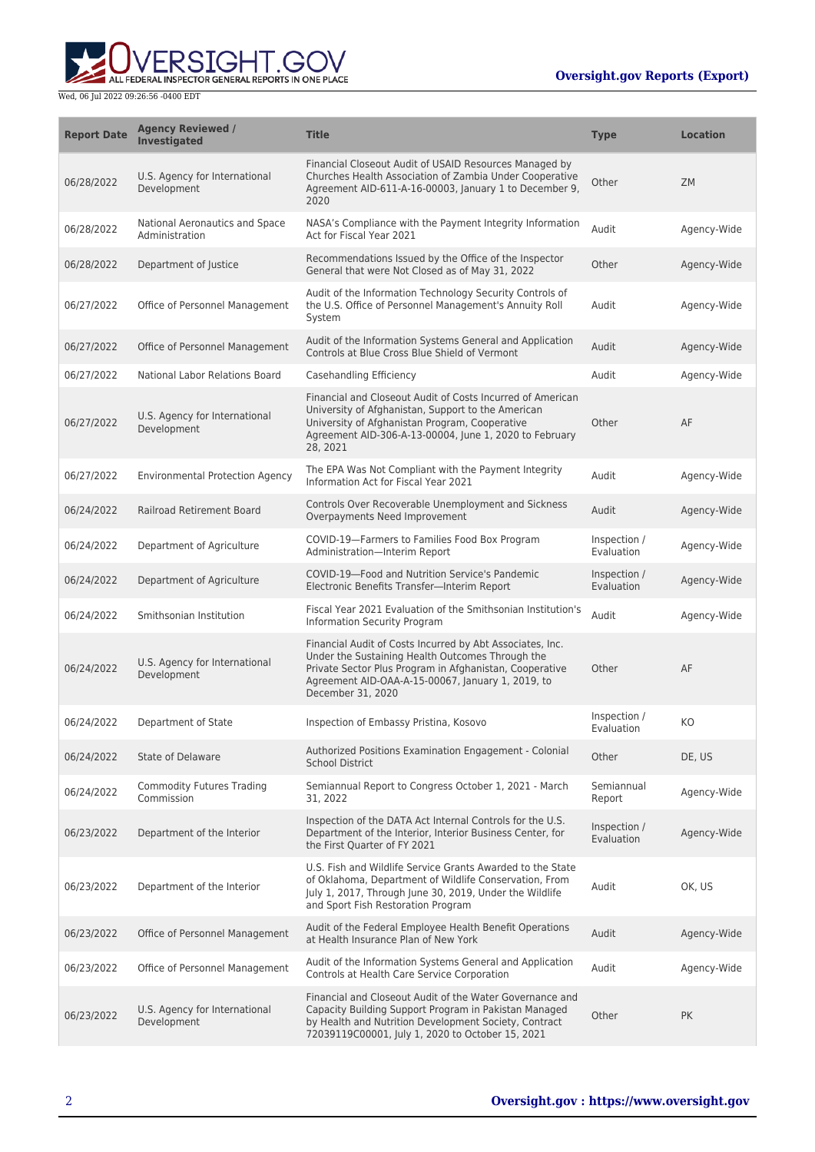

| <b>Report Date</b> | <b>Agency Reviewed /</b><br>Investigated         | <b>Title</b>                                                                                                                                                                                                                                       | <b>Type</b>                | <b>Location</b> |
|--------------------|--------------------------------------------------|----------------------------------------------------------------------------------------------------------------------------------------------------------------------------------------------------------------------------------------------------|----------------------------|-----------------|
| 06/28/2022         | U.S. Agency for International<br>Development     | Financial Closeout Audit of USAID Resources Managed by<br>Churches Health Association of Zambia Under Cooperative<br>Agreement AID-611-A-16-00003, January 1 to December 9,<br>2020                                                                | Other                      | <b>ZM</b>       |
| 06/28/2022         | National Aeronautics and Space<br>Administration | NASA's Compliance with the Payment Integrity Information<br>Act for Fiscal Year 2021                                                                                                                                                               | Audit                      | Agency-Wide     |
| 06/28/2022         | Department of Justice                            | Recommendations Issued by the Office of the Inspector<br>General that were Not Closed as of May 31, 2022                                                                                                                                           | Other                      | Agency-Wide     |
| 06/27/2022         | Office of Personnel Management                   | Audit of the Information Technology Security Controls of<br>the U.S. Office of Personnel Management's Annuity Roll<br>System                                                                                                                       | Audit                      | Agency-Wide     |
| 06/27/2022         | Office of Personnel Management                   | Audit of the Information Systems General and Application<br>Controls at Blue Cross Blue Shield of Vermont                                                                                                                                          | Audit                      | Agency-Wide     |
| 06/27/2022         | National Labor Relations Board                   | Casehandling Efficiency                                                                                                                                                                                                                            | Audit                      | Agency-Wide     |
| 06/27/2022         | U.S. Agency for International<br>Development     | Financial and Closeout Audit of Costs Incurred of American<br>University of Afghanistan, Support to the American<br>University of Afghanistan Program, Cooperative<br>Agreement AID-306-A-13-00004, June 1, 2020 to February<br>28, 2021           | Other                      | AF              |
| 06/27/2022         | <b>Environmental Protection Agency</b>           | The EPA Was Not Compliant with the Payment Integrity<br>Information Act for Fiscal Year 2021                                                                                                                                                       | Audit                      | Agency-Wide     |
| 06/24/2022         | Railroad Retirement Board                        | Controls Over Recoverable Unemployment and Sickness<br>Overpayments Need Improvement                                                                                                                                                               | Audit                      | Agency-Wide     |
| 06/24/2022         | Department of Agriculture                        | COVID-19-Farmers to Families Food Box Program<br>Administration-Interim Report                                                                                                                                                                     | Inspection /<br>Evaluation | Agency-Wide     |
| 06/24/2022         | Department of Agriculture                        | COVID-19-Food and Nutrition Service's Pandemic<br>Electronic Benefits Transfer-Interim Report                                                                                                                                                      | Inspection /<br>Evaluation | Agency-Wide     |
| 06/24/2022         | Smithsonian Institution                          | Fiscal Year 2021 Evaluation of the Smithsonian Institution's<br>Information Security Program                                                                                                                                                       | Audit                      | Agency-Wide     |
| 06/24/2022         | U.S. Agency for International<br>Development     | Financial Audit of Costs Incurred by Abt Associates, Inc.<br>Under the Sustaining Health Outcomes Through the<br>Private Sector Plus Program in Afghanistan, Cooperative<br>Agreement AID-OAA-A-15-00067, January 1, 2019, to<br>December 31, 2020 | Other                      | AF              |
| 06/24/2022         | Department of State                              | Inspection of Embassy Pristina, Kosovo                                                                                                                                                                                                             | Inspection /<br>Evaluation | KO              |
| 06/24/2022         | State of Delaware                                | Authorized Positions Examination Engagement - Colonial<br><b>School District</b>                                                                                                                                                                   | Other                      | DE, US          |
| 06/24/2022         | <b>Commodity Futures Trading</b><br>Commission   | Semiannual Report to Congress October 1, 2021 - March<br>31, 2022                                                                                                                                                                                  | Semiannual<br>Report       | Agency-Wide     |
| 06/23/2022         | Department of the Interior                       | Inspection of the DATA Act Internal Controls for the U.S.<br>Department of the Interior, Interior Business Center, for<br>the First Quarter of FY 2021                                                                                             | Inspection /<br>Evaluation | Agency-Wide     |
| 06/23/2022         | Department of the Interior                       | U.S. Fish and Wildlife Service Grants Awarded to the State<br>of Oklahoma, Department of Wildlife Conservation, From<br>July 1, 2017, Through June 30, 2019, Under the Wildlife<br>and Sport Fish Restoration Program                              | Audit                      | OK, US          |
| 06/23/2022         | Office of Personnel Management                   | Audit of the Federal Employee Health Benefit Operations<br>at Health Insurance Plan of New York                                                                                                                                                    | Audit                      | Agency-Wide     |
| 06/23/2022         | Office of Personnel Management                   | Audit of the Information Systems General and Application<br>Controls at Health Care Service Corporation                                                                                                                                            | Audit                      | Agency-Wide     |
| 06/23/2022         | U.S. Agency for International<br>Development     | Financial and Closeout Audit of the Water Governance and<br>Capacity Building Support Program in Pakistan Managed<br>by Health and Nutrition Development Society, Contract<br>72039119C00001, July 1, 2020 to October 15, 2021                     | Other                      | PK              |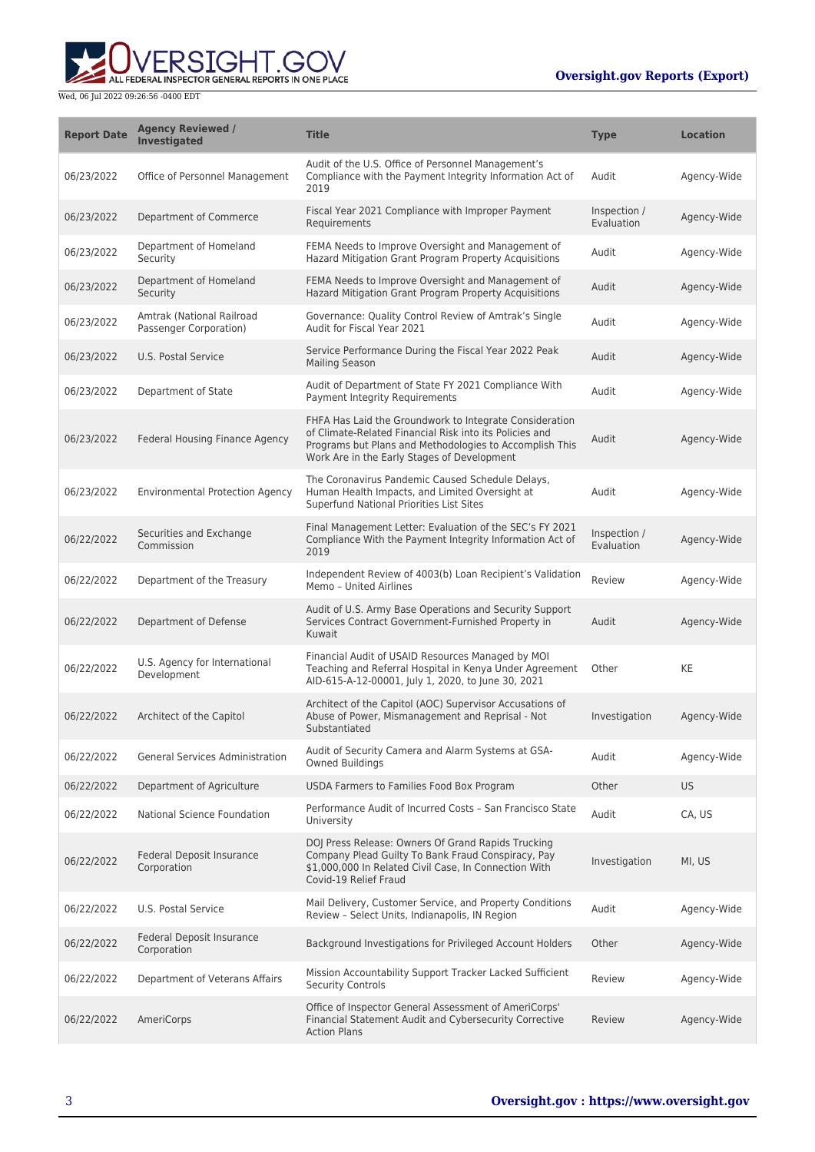

| <b>Report Date</b> | <b>Agency Reviewed /</b><br><b>Investigated</b>     | <b>Title</b>                                                                                                                                                                                                                 | <b>Type</b>                | <b>Location</b> |
|--------------------|-----------------------------------------------------|------------------------------------------------------------------------------------------------------------------------------------------------------------------------------------------------------------------------------|----------------------------|-----------------|
| 06/23/2022         | Office of Personnel Management                      | Audit of the U.S. Office of Personnel Management's<br>Compliance with the Payment Integrity Information Act of<br>2019                                                                                                       | Audit                      | Agency-Wide     |
| 06/23/2022         | Department of Commerce                              | Fiscal Year 2021 Compliance with Improper Payment<br>Requirements                                                                                                                                                            | Inspection /<br>Evaluation | Agency-Wide     |
| 06/23/2022         | Department of Homeland<br>Security                  | FEMA Needs to Improve Oversight and Management of<br>Hazard Mitigation Grant Program Property Acquisitions                                                                                                                   | Audit                      | Agency-Wide     |
| 06/23/2022         | Department of Homeland<br>Security                  | FEMA Needs to Improve Oversight and Management of<br>Hazard Mitigation Grant Program Property Acquisitions                                                                                                                   | Audit                      | Agency-Wide     |
| 06/23/2022         | Amtrak (National Railroad<br>Passenger Corporation) | Governance: Quality Control Review of Amtrak's Single<br>Audit for Fiscal Year 2021                                                                                                                                          | Audit                      | Agency-Wide     |
| 06/23/2022         | U.S. Postal Service                                 | Service Performance During the Fiscal Year 2022 Peak<br><b>Mailing Season</b>                                                                                                                                                | Audit                      | Agency-Wide     |
| 06/23/2022         | Department of State                                 | Audit of Department of State FY 2021 Compliance With<br>Payment Integrity Requirements                                                                                                                                       | Audit                      | Agency-Wide     |
| 06/23/2022         | Federal Housing Finance Agency                      | FHFA Has Laid the Groundwork to Integrate Consideration<br>of Climate-Related Financial Risk into its Policies and<br>Programs but Plans and Methodologies to Accomplish This<br>Work Are in the Early Stages of Development | Audit                      | Agency-Wide     |
| 06/23/2022         | <b>Environmental Protection Agency</b>              | The Coronavirus Pandemic Caused Schedule Delays,<br>Human Health Impacts, and Limited Oversight at<br>Superfund National Priorities List Sites                                                                               | Audit                      | Agency-Wide     |
| 06/22/2022         | Securities and Exchange<br>Commission               | Final Management Letter: Evaluation of the SEC's FY 2021<br>Compliance With the Payment Integrity Information Act of<br>2019                                                                                                 | Inspection /<br>Evaluation | Agency-Wide     |
| 06/22/2022         | Department of the Treasury                          | Independent Review of 4003(b) Loan Recipient's Validation<br>Memo - United Airlines                                                                                                                                          | Review                     | Agency-Wide     |
| 06/22/2022         | Department of Defense                               | Audit of U.S. Army Base Operations and Security Support<br>Services Contract Government-Furnished Property in<br>Kuwait                                                                                                      | Audit                      | Agency-Wide     |
| 06/22/2022         | U.S. Agency for International<br>Development        | Financial Audit of USAID Resources Managed by MOI<br>Teaching and Referral Hospital in Kenya Under Agreement<br>AID-615-A-12-00001, July 1, 2020, to June 30, 2021                                                           | Other                      | KE              |
| 06/22/2022         | Architect of the Capitol                            | Architect of the Capitol (AOC) Supervisor Accusations of<br>Abuse of Power, Mismanagement and Reprisal - Not<br>Substantiated                                                                                                | Investigation              | Agency-Wide     |
| 06/22/2022         | <b>General Services Administration</b>              | Audit of Security Camera and Alarm Systems at GSA-<br><b>Owned Buildings</b>                                                                                                                                                 | Audit                      | Agency-Wide     |
| 06/22/2022         | Department of Agriculture                           | USDA Farmers to Families Food Box Program                                                                                                                                                                                    | Other                      | <b>US</b>       |
| 06/22/2022         | National Science Foundation                         | Performance Audit of Incurred Costs - San Francisco State<br>University                                                                                                                                                      | Audit                      | CA, US          |
| 06/22/2022         | Federal Deposit Insurance<br>Corporation            | DOJ Press Release: Owners Of Grand Rapids Trucking<br>Company Plead Guilty To Bank Fraud Conspiracy, Pay<br>\$1,000,000 In Related Civil Case, In Connection With<br>Covid-19 Relief Fraud                                   | Investigation              | MI, US          |
| 06/22/2022         | U.S. Postal Service                                 | Mail Delivery, Customer Service, and Property Conditions<br>Review - Select Units, Indianapolis, IN Region                                                                                                                   | Audit                      | Agency-Wide     |
| 06/22/2022         | Federal Deposit Insurance<br>Corporation            | Background Investigations for Privileged Account Holders                                                                                                                                                                     | Other                      | Agency-Wide     |
| 06/22/2022         | Department of Veterans Affairs                      | Mission Accountability Support Tracker Lacked Sufficient<br><b>Security Controls</b>                                                                                                                                         | Review                     | Agency-Wide     |
| 06/22/2022         | AmeriCorps                                          | Office of Inspector General Assessment of AmeriCorps'<br>Financial Statement Audit and Cybersecurity Corrective<br><b>Action Plans</b>                                                                                       | Review                     | Agency-Wide     |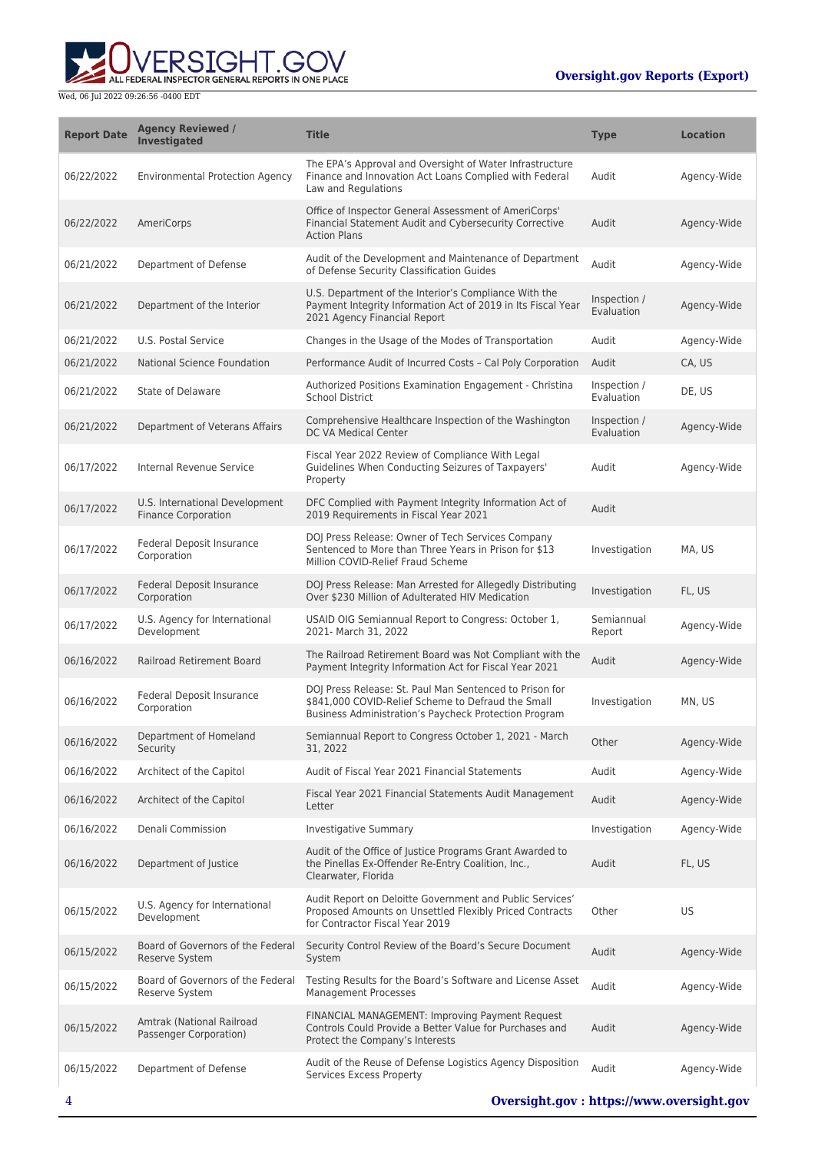**WERSIGHT.GOV** 

| <b>Report Date</b> | <b>Agency Reviewed /</b><br><b>Investigated</b>              | <b>Title</b>                                                                                                                                                           | <b>Type</b>                | <b>Location</b> |
|--------------------|--------------------------------------------------------------|------------------------------------------------------------------------------------------------------------------------------------------------------------------------|----------------------------|-----------------|
| 06/22/2022         | <b>Environmental Protection Agency</b>                       | The EPA's Approval and Oversight of Water Infrastructure<br>Finance and Innovation Act Loans Complied with Federal<br>Law and Regulations                              | Audit                      | Agency-Wide     |
| 06/22/2022         | AmeriCorps                                                   | Office of Inspector General Assessment of AmeriCorps'<br>Financial Statement Audit and Cybersecurity Corrective<br><b>Action Plans</b>                                 | Audit                      | Agency-Wide     |
| 06/21/2022         | Department of Defense                                        | Audit of the Development and Maintenance of Department<br>of Defense Security Classification Guides                                                                    | Audit                      | Agency-Wide     |
| 06/21/2022         | Department of the Interior                                   | U.S. Department of the Interior's Compliance With the<br>Payment Integrity Information Act of 2019 in Its Fiscal Year<br>2021 Agency Financial Report                  | Inspection /<br>Evaluation | Agency-Wide     |
| 06/21/2022         | U.S. Postal Service                                          | Changes in the Usage of the Modes of Transportation                                                                                                                    | Audit                      | Agency-Wide     |
| 06/21/2022         | National Science Foundation                                  | Performance Audit of Incurred Costs - Cal Poly Corporation                                                                                                             | Audit                      | CA, US          |
| 06/21/2022         | State of Delaware                                            | Authorized Positions Examination Engagement - Christina<br><b>School District</b>                                                                                      | Inspection /<br>Evaluation | DE, US          |
| 06/21/2022         | Department of Veterans Affairs                               | Comprehensive Healthcare Inspection of the Washington<br>DC VA Medical Center                                                                                          | Inspection /<br>Evaluation | Agency-Wide     |
| 06/17/2022         | Internal Revenue Service                                     | Fiscal Year 2022 Review of Compliance With Legal<br>Guidelines When Conducting Seizures of Taxpayers'<br>Property                                                      | Audit                      | Agency-Wide     |
| 06/17/2022         | U.S. International Development<br><b>Finance Corporation</b> | DFC Complied with Payment Integrity Information Act of<br>2019 Requirements in Fiscal Year 2021                                                                        | Audit                      |                 |
| 06/17/2022         | <b>Federal Deposit Insurance</b><br>Corporation              | DOJ Press Release: Owner of Tech Services Company<br>Sentenced to More than Three Years in Prison for \$13<br>Million COVID-Relief Fraud Scheme                        | Investigation              | MA, US          |
| 06/17/2022         | Federal Deposit Insurance<br>Corporation                     | DOJ Press Release: Man Arrested for Allegedly Distributing<br>Over \$230 Million of Adulterated HIV Medication                                                         | Investigation              | FL, US          |
| 06/17/2022         | U.S. Agency for International<br>Development                 | USAID OIG Semiannual Report to Congress: October 1,<br>2021- March 31, 2022                                                                                            | Semiannual<br>Report       | Agency-Wide     |
| 06/16/2022         | Railroad Retirement Board                                    | The Railroad Retirement Board was Not Compliant with the<br>Payment Integrity Information Act for Fiscal Year 2021                                                     | Audit                      | Agency-Wide     |
| 06/16/2022         | Federal Deposit Insurance<br>Corporation                     | DOJ Press Release: St. Paul Man Sentenced to Prison for<br>\$841,000 COVID-Relief Scheme to Defraud the Small<br>Business Administration's Paycheck Protection Program | Investigation              | MN, US          |
| 06/16/2022         | Department of Homeland<br>Security                           | Semiannual Report to Congress October 1, 2021 - March<br>31, 2022                                                                                                      | Other                      | Agency-Wide     |
| 06/16/2022         | Architect of the Capitol                                     | Audit of Fiscal Year 2021 Financial Statements                                                                                                                         | Audit                      | Agency-Wide     |
| 06/16/2022         | Architect of the Capitol                                     | Fiscal Year 2021 Financial Statements Audit Management<br>Letter                                                                                                       | Audit                      | Agency-Wide     |
| 06/16/2022         | Denali Commission                                            | Investigative Summary                                                                                                                                                  | Investigation              | Agency-Wide     |
| 06/16/2022         | Department of Justice                                        | Audit of the Office of Justice Programs Grant Awarded to<br>the Pinellas Ex-Offender Re-Entry Coalition, Inc.,<br>Clearwater, Florida                                  | Audit                      | FL, US          |
| 06/15/2022         | U.S. Agency for International<br>Development                 | Audit Report on Deloitte Government and Public Services'<br>Proposed Amounts on Unsettled Flexibly Priced Contracts<br>for Contractor Fiscal Year 2019                 | Other                      | US              |
| 06/15/2022         | Board of Governors of the Federal<br><b>Reserve System</b>   | Security Control Review of the Board's Secure Document<br>System                                                                                                       | Audit                      | Agency-Wide     |
| 06/15/2022         | Board of Governors of the Federal<br>Reserve System          | Testing Results for the Board's Software and License Asset<br><b>Management Processes</b>                                                                              | Audit                      | Agency-Wide     |
| 06/15/2022         | Amtrak (National Railroad<br>Passenger Corporation)          | FINANCIAL MANAGEMENT: Improving Payment Request<br>Controls Could Provide a Better Value for Purchases and<br>Protect the Company's Interests                          | Audit                      | Agency-Wide     |
| 06/15/2022         | Department of Defense                                        | Audit of the Reuse of Defense Logistics Agency Disposition<br>Services Excess Property                                                                                 | Audit                      | Agency-Wide     |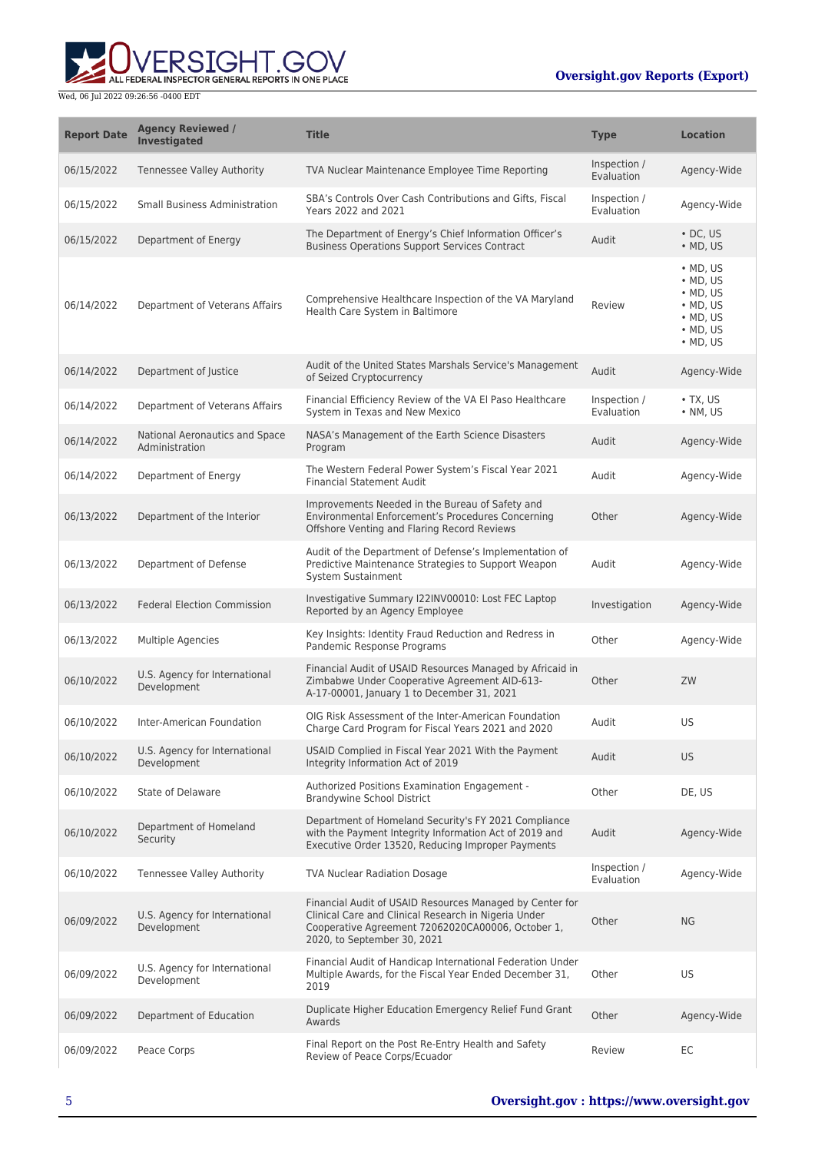

| <b>Report Date</b> | <b>Agency Reviewed /</b><br><b>Investigated</b>  | <b>Title</b>                                                                                                                                                                                         | <b>Type</b>                | <b>Location</b>                                                                                                                          |
|--------------------|--------------------------------------------------|------------------------------------------------------------------------------------------------------------------------------------------------------------------------------------------------------|----------------------------|------------------------------------------------------------------------------------------------------------------------------------------|
| 06/15/2022         | <b>Tennessee Valley Authority</b>                | TVA Nuclear Maintenance Employee Time Reporting                                                                                                                                                      | Inspection /<br>Evaluation | Agency-Wide                                                                                                                              |
| 06/15/2022         | Small Business Administration                    | SBA's Controls Over Cash Contributions and Gifts, Fiscal<br>Years 2022 and 2021                                                                                                                      | Inspection /<br>Evaluation | Agency-Wide                                                                                                                              |
| 06/15/2022         | Department of Energy                             | The Department of Energy's Chief Information Officer's<br><b>Business Operations Support Services Contract</b>                                                                                       | Audit                      | $\cdot$ DC, US<br>$\bullet$ MD, US                                                                                                       |
| 06/14/2022         | Department of Veterans Affairs                   | Comprehensive Healthcare Inspection of the VA Maryland<br>Health Care System in Baltimore                                                                                                            | Review                     | $\bullet$ MD, US<br>$\bullet$ MD, US<br>$\bullet$ MD, US<br>$\bullet$ MD, US<br>$\bullet$ MD, US<br>$\bullet$ MD, US<br>$\bullet$ MD, US |
| 06/14/2022         | Department of Justice                            | Audit of the United States Marshals Service's Management<br>of Seized Cryptocurrency                                                                                                                 | Audit                      | Agency-Wide                                                                                                                              |
| 06/14/2022         | Department of Veterans Affairs                   | Financial Efficiency Review of the VA El Paso Healthcare<br>System in Texas and New Mexico                                                                                                           | Inspection /<br>Evaluation | $\bullet$ TX, US<br>• NM, US                                                                                                             |
| 06/14/2022         | National Aeronautics and Space<br>Administration | NASA's Management of the Earth Science Disasters<br>Program                                                                                                                                          | Audit                      | Agency-Wide                                                                                                                              |
| 06/14/2022         | Department of Energy                             | The Western Federal Power System's Fiscal Year 2021<br><b>Financial Statement Audit</b>                                                                                                              | Audit                      | Agency-Wide                                                                                                                              |
| 06/13/2022         | Department of the Interior                       | Improvements Needed in the Bureau of Safety and<br>Environmental Enforcement's Procedures Concerning<br>Offshore Venting and Flaring Record Reviews                                                  | Other                      | Agency-Wide                                                                                                                              |
| 06/13/2022         | Department of Defense                            | Audit of the Department of Defense's Implementation of<br>Predictive Maintenance Strategies to Support Weapon<br>System Sustainment                                                                  | Audit                      | Agency-Wide                                                                                                                              |
| 06/13/2022         | <b>Federal Election Commission</b>               | Investigative Summary I22INV00010: Lost FEC Laptop<br>Reported by an Agency Employee                                                                                                                 | Investigation              | Agency-Wide                                                                                                                              |
| 06/13/2022         | Multiple Agencies                                | Key Insights: Identity Fraud Reduction and Redress in<br>Pandemic Response Programs                                                                                                                  | Other                      | Agency-Wide                                                                                                                              |
| 06/10/2022         | U.S. Agency for International<br>Development     | Financial Audit of USAID Resources Managed by Africaid in<br>Zimbabwe Under Cooperative Agreement AID-613-<br>A-17-00001, January 1 to December 31, 2021                                             | Other                      | ZW                                                                                                                                       |
| 06/10/2022         | Inter-American Foundation                        | OIG Risk Assessment of the Inter-American Foundation<br>Charge Card Program for Fiscal Years 2021 and 2020                                                                                           | Audit                      | US                                                                                                                                       |
| 06/10/2022         | U.S. Agency for International<br>Development     | USAID Complied in Fiscal Year 2021 With the Payment<br>Integrity Information Act of 2019                                                                                                             | Audit                      | <b>US</b>                                                                                                                                |
| 06/10/2022         | State of Delaware                                | Authorized Positions Examination Engagement -<br><b>Brandywine School District</b>                                                                                                                   | Other                      | DE, US                                                                                                                                   |
| 06/10/2022         | Department of Homeland<br>Security               | Department of Homeland Security's FY 2021 Compliance<br>with the Payment Integrity Information Act of 2019 and<br>Executive Order 13520, Reducing Improper Payments                                  | Audit                      | Agency-Wide                                                                                                                              |
| 06/10/2022         | <b>Tennessee Valley Authority</b>                | <b>TVA Nuclear Radiation Dosage</b>                                                                                                                                                                  | Inspection /<br>Evaluation | Agency-Wide                                                                                                                              |
| 06/09/2022         | U.S. Agency for International<br>Development     | Financial Audit of USAID Resources Managed by Center for<br>Clinical Care and Clinical Research in Nigeria Under<br>Cooperative Agreement 72062020CA00006, October 1,<br>2020, to September 30, 2021 | Other                      | <b>NG</b>                                                                                                                                |
| 06/09/2022         | U.S. Agency for International<br>Development     | Financial Audit of Handicap International Federation Under<br>Multiple Awards, for the Fiscal Year Ended December 31,<br>2019                                                                        | Other                      | US                                                                                                                                       |
| 06/09/2022         | Department of Education                          | Duplicate Higher Education Emergency Relief Fund Grant<br>Awards                                                                                                                                     | Other                      | Agency-Wide                                                                                                                              |
| 06/09/2022         | Peace Corps                                      | Final Report on the Post Re-Entry Health and Safety<br>Review of Peace Corps/Ecuador                                                                                                                 | Review                     | EC                                                                                                                                       |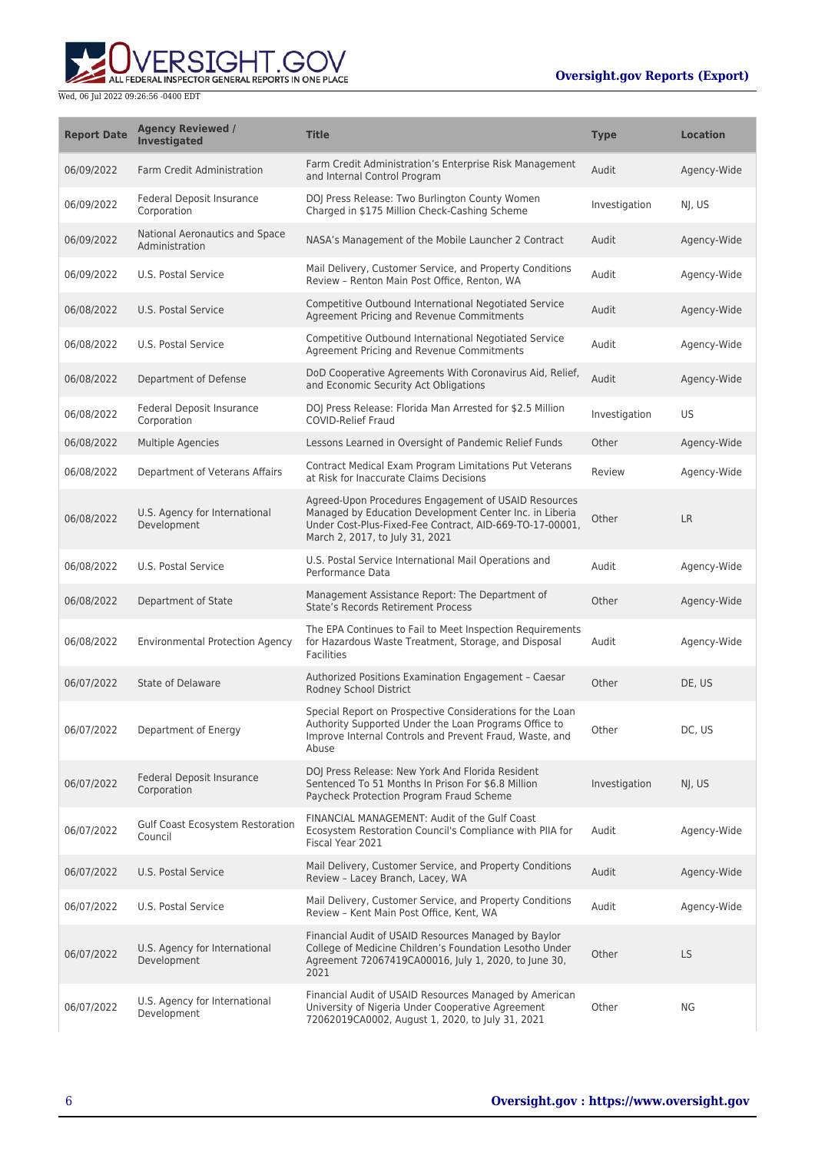

| <b>Report Date</b> | <b>Agency Reviewed /</b><br><b>Investigated</b>  | <b>Title</b>                                                                                                                                                                                                   | <b>Type</b>   | <b>Location</b> |
|--------------------|--------------------------------------------------|----------------------------------------------------------------------------------------------------------------------------------------------------------------------------------------------------------------|---------------|-----------------|
| 06/09/2022         | <b>Farm Credit Administration</b>                | Farm Credit Administration's Enterprise Risk Management<br>and Internal Control Program                                                                                                                        | Audit         | Agency-Wide     |
| 06/09/2022         | Federal Deposit Insurance<br>Corporation         | DOJ Press Release: Two Burlington County Women<br>Charged in \$175 Million Check-Cashing Scheme                                                                                                                | Investigation | NJ, US          |
| 06/09/2022         | National Aeronautics and Space<br>Administration | NASA's Management of the Mobile Launcher 2 Contract                                                                                                                                                            | Audit         | Agency-Wide     |
| 06/09/2022         | U.S. Postal Service                              | Mail Delivery, Customer Service, and Property Conditions<br>Review - Renton Main Post Office, Renton, WA                                                                                                       | Audit         | Agency-Wide     |
| 06/08/2022         | U.S. Postal Service                              | Competitive Outbound International Negotiated Service<br>Agreement Pricing and Revenue Commitments                                                                                                             | Audit         | Agency-Wide     |
| 06/08/2022         | U.S. Postal Service                              | Competitive Outbound International Negotiated Service<br>Agreement Pricing and Revenue Commitments                                                                                                             | Audit         | Agency-Wide     |
| 06/08/2022         | Department of Defense                            | DoD Cooperative Agreements With Coronavirus Aid, Relief,<br>and Economic Security Act Obligations                                                                                                              | Audit         | Agency-Wide     |
| 06/08/2022         | <b>Federal Deposit Insurance</b><br>Corporation  | DOJ Press Release: Florida Man Arrested for \$2.5 Million<br><b>COVID-Relief Fraud</b>                                                                                                                         | Investigation | US              |
| 06/08/2022         | <b>Multiple Agencies</b>                         | Lessons Learned in Oversight of Pandemic Relief Funds                                                                                                                                                          | Other         | Agency-Wide     |
| 06/08/2022         | Department of Veterans Affairs                   | Contract Medical Exam Program Limitations Put Veterans<br>at Risk for Inaccurate Claims Decisions                                                                                                              | Review        | Agency-Wide     |
| 06/08/2022         | U.S. Agency for International<br>Development     | Agreed-Upon Procedures Engagement of USAID Resources<br>Managed by Education Development Center Inc. in Liberia<br>Under Cost-Plus-Fixed-Fee Contract, AID-669-TO-17-00001,<br>March 2, 2017, to July 31, 2021 | Other         | <b>LR</b>       |
| 06/08/2022         | U.S. Postal Service                              | U.S. Postal Service International Mail Operations and<br>Performance Data                                                                                                                                      | Audit         | Agency-Wide     |
| 06/08/2022         | Department of State                              | Management Assistance Report: The Department of<br><b>State's Records Retirement Process</b>                                                                                                                   | Other         | Agency-Wide     |
| 06/08/2022         | <b>Environmental Protection Agency</b>           | The EPA Continues to Fail to Meet Inspection Requirements<br>for Hazardous Waste Treatment, Storage, and Disposal<br><b>Facilities</b>                                                                         | Audit         | Agency-Wide     |
| 06/07/2022         | State of Delaware                                | Authorized Positions Examination Engagement - Caesar<br>Rodney School District                                                                                                                                 | Other         | DE, US          |
| 06/07/2022         | Department of Energy                             | Special Report on Prospective Considerations for the Loan<br>Authority Supported Under the Loan Programs Office to<br>Improve Internal Controls and Prevent Fraud, Waste, and<br>Abuse                         | Other         | DC, US          |
| 06/07/2022         | <b>Federal Deposit Insurance</b><br>Corporation  | DOJ Press Release: New York And Florida Resident<br>Sentenced To 51 Months In Prison For \$6.8 Million<br>Paycheck Protection Program Fraud Scheme                                                             | Investigation | NJ, US          |
| 06/07/2022         | Gulf Coast Ecosystem Restoration<br>Council      | FINANCIAL MANAGEMENT: Audit of the Gulf Coast<br>Ecosystem Restoration Council's Compliance with PIIA for<br>Fiscal Year 2021                                                                                  | Audit         | Agency-Wide     |
| 06/07/2022         | U.S. Postal Service                              | Mail Delivery, Customer Service, and Property Conditions<br>Review - Lacey Branch, Lacey, WA                                                                                                                   | Audit         | Agency-Wide     |
| 06/07/2022         | U.S. Postal Service                              | Mail Delivery, Customer Service, and Property Conditions<br>Review - Kent Main Post Office, Kent, WA                                                                                                           | Audit         | Agency-Wide     |
| 06/07/2022         | U.S. Agency for International<br>Development     | Financial Audit of USAID Resources Managed by Baylor<br>College of Medicine Children's Foundation Lesotho Under<br>Agreement 72067419CA00016, July 1, 2020, to June 30,<br>2021                                | Other         | LS              |
| 06/07/2022         | U.S. Agency for International<br>Development     | Financial Audit of USAID Resources Managed by American<br>University of Nigeria Under Cooperative Agreement<br>72062019CA0002, August 1, 2020, to July 31, 2021                                                | Other         | ΝG              |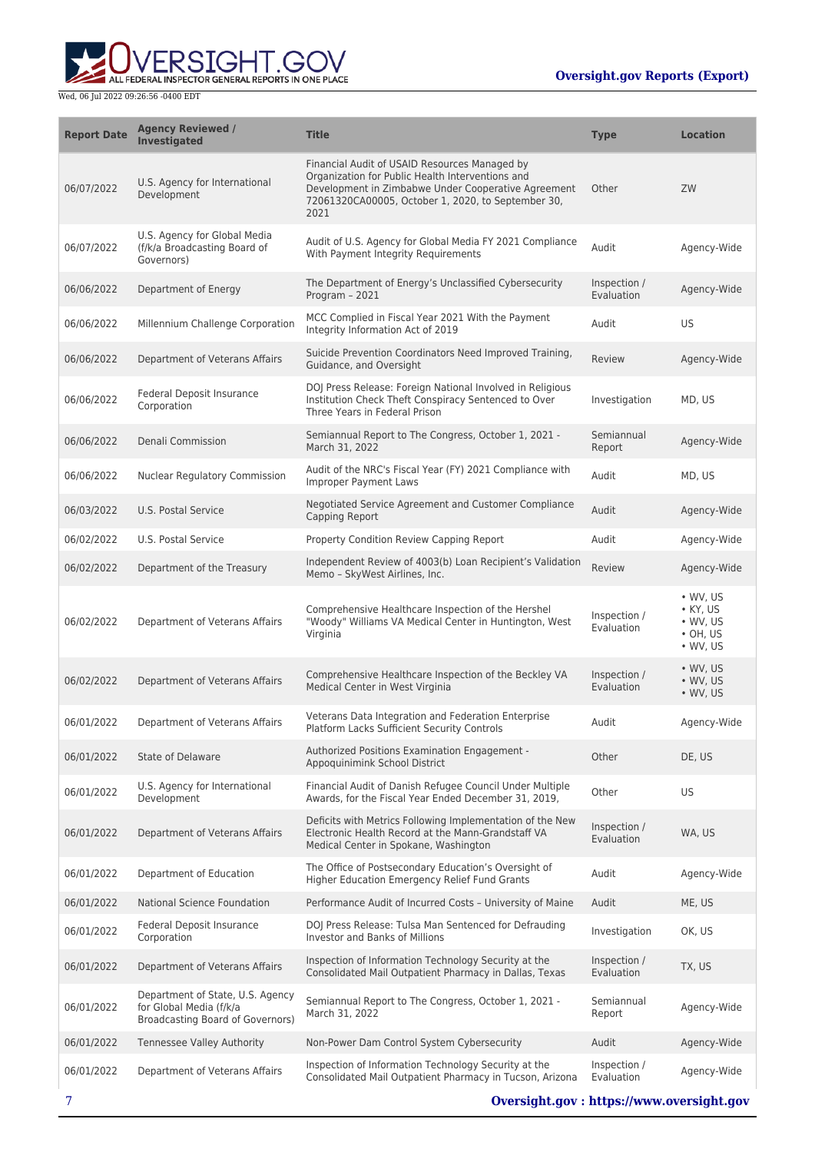

| <b>Report Date</b> | <b>Agency Reviewed /</b><br><b>Investigated</b>                                                 | <b>Title</b>                                                                                                                                                                                                           | <b>Type</b>                | <b>Location</b>                                                                                |
|--------------------|-------------------------------------------------------------------------------------------------|------------------------------------------------------------------------------------------------------------------------------------------------------------------------------------------------------------------------|----------------------------|------------------------------------------------------------------------------------------------|
| 06/07/2022         | U.S. Agency for International<br>Development                                                    | Financial Audit of USAID Resources Managed by<br>Organization for Public Health Interventions and<br>Development in Zimbabwe Under Cooperative Agreement<br>72061320CA00005, October 1, 2020, to September 30,<br>2021 | Other                      | ZW                                                                                             |
| 06/07/2022         | U.S. Agency for Global Media<br>(f/k/a Broadcasting Board of<br>Governors)                      | Audit of U.S. Agency for Global Media FY 2021 Compliance<br>With Payment Integrity Requirements                                                                                                                        | Audit                      | Agency-Wide                                                                                    |
| 06/06/2022         | Department of Energy                                                                            | The Department of Energy's Unclassified Cybersecurity<br>Program - 2021                                                                                                                                                | Inspection /<br>Evaluation | Agency-Wide                                                                                    |
| 06/06/2022         | Millennium Challenge Corporation                                                                | MCC Complied in Fiscal Year 2021 With the Payment<br>Integrity Information Act of 2019                                                                                                                                 | Audit                      | US                                                                                             |
| 06/06/2022         | Department of Veterans Affairs                                                                  | Suicide Prevention Coordinators Need Improved Training,<br>Guidance, and Oversight                                                                                                                                     | Review                     | Agency-Wide                                                                                    |
| 06/06/2022         | Federal Deposit Insurance<br>Corporation                                                        | DOJ Press Release: Foreign National Involved in Religious<br>Institution Check Theft Conspiracy Sentenced to Over<br>Three Years in Federal Prison                                                                     | Investigation              | MD, US                                                                                         |
| 06/06/2022         | Denali Commission                                                                               | Semiannual Report to The Congress, October 1, 2021 -<br>March 31, 2022                                                                                                                                                 | Semiannual<br>Report       | Agency-Wide                                                                                    |
| 06/06/2022         | <b>Nuclear Regulatory Commission</b>                                                            | Audit of the NRC's Fiscal Year (FY) 2021 Compliance with<br><b>Improper Payment Laws</b>                                                                                                                               | Audit                      | MD, US                                                                                         |
| 06/03/2022         | U.S. Postal Service                                                                             | Negotiated Service Agreement and Customer Compliance<br>Capping Report                                                                                                                                                 | Audit                      | Agency-Wide                                                                                    |
| 06/02/2022         | U.S. Postal Service                                                                             | Property Condition Review Capping Report                                                                                                                                                                               | Audit                      | Agency-Wide                                                                                    |
| 06/02/2022         | Department of the Treasury                                                                      | Independent Review of 4003(b) Loan Recipient's Validation<br>Memo - SkyWest Airlines, Inc.                                                                                                                             | <b>Review</b>              | Agency-Wide                                                                                    |
| 06/02/2022         | Department of Veterans Affairs                                                                  | Comprehensive Healthcare Inspection of the Hershel<br>"Woody" Williams VA Medical Center in Huntington, West<br>Virginia                                                                                               | Inspection /<br>Evaluation | $\bullet$ WV, US<br>$\bullet$ KY, US<br>$\bullet$ WV, US<br>$\cdot$ OH, US<br>$\bullet$ WV, US |
| 06/02/2022         | Department of Veterans Affairs                                                                  | Comprehensive Healthcare Inspection of the Beckley VA<br>Medical Center in West Virginia                                                                                                                               | Inspection /<br>Evaluation | • WV, US<br>$\bullet$ WV, US<br>$\bullet$ WV, US                                               |
| 06/01/2022         | Department of Veterans Affairs                                                                  | Veterans Data Integration and Federation Enterprise<br>Platform Lacks Sufficient Security Controls                                                                                                                     | Audit                      | Agency-Wide                                                                                    |
| 06/01/2022         | State of Delaware                                                                               | Authorized Positions Examination Engagement -<br>Appoquinimink School District                                                                                                                                         | Other                      | DE, US                                                                                         |
| 06/01/2022         | U.S. Agency for International<br>Development                                                    | Financial Audit of Danish Refugee Council Under Multiple<br>Awards, for the Fiscal Year Ended December 31, 2019,                                                                                                       | Other                      | US                                                                                             |
| 06/01/2022         | Department of Veterans Affairs                                                                  | Deficits with Metrics Following Implementation of the New<br>Electronic Health Record at the Mann-Grandstaff VA<br>Medical Center in Spokane, Washington                                                               | Inspection /<br>Evaluation | WA, US                                                                                         |
| 06/01/2022         | Department of Education                                                                         | The Office of Postsecondary Education's Oversight of<br>Higher Education Emergency Relief Fund Grants                                                                                                                  | Audit                      | Agency-Wide                                                                                    |
| 06/01/2022         | National Science Foundation                                                                     | Performance Audit of Incurred Costs - University of Maine                                                                                                                                                              | Audit                      | ME, US                                                                                         |
| 06/01/2022         | <b>Federal Deposit Insurance</b><br>Corporation                                                 | DOJ Press Release: Tulsa Man Sentenced for Defrauding<br>Investor and Banks of Millions                                                                                                                                | Investigation              | OK, US                                                                                         |
| 06/01/2022         | Department of Veterans Affairs                                                                  | Inspection of Information Technology Security at the<br>Consolidated Mail Outpatient Pharmacy in Dallas, Texas                                                                                                         | Inspection /<br>Evaluation | TX, US                                                                                         |
| 06/01/2022         | Department of State, U.S. Agency<br>for Global Media (f/k/a<br>Broadcasting Board of Governors) | Semiannual Report to The Congress, October 1, 2021 -<br>March 31, 2022                                                                                                                                                 | Semiannual<br>Report       | Agency-Wide                                                                                    |
| 06/01/2022         | <b>Tennessee Valley Authority</b>                                                               | Non-Power Dam Control System Cybersecurity                                                                                                                                                                             | Audit                      | Agency-Wide                                                                                    |
| 06/01/2022         | Department of Veterans Affairs                                                                  | Inspection of Information Technology Security at the<br>Consolidated Mail Outpatient Pharmacy in Tucson, Arizona                                                                                                       | Inspection /<br>Evaluation | Agency-Wide                                                                                    |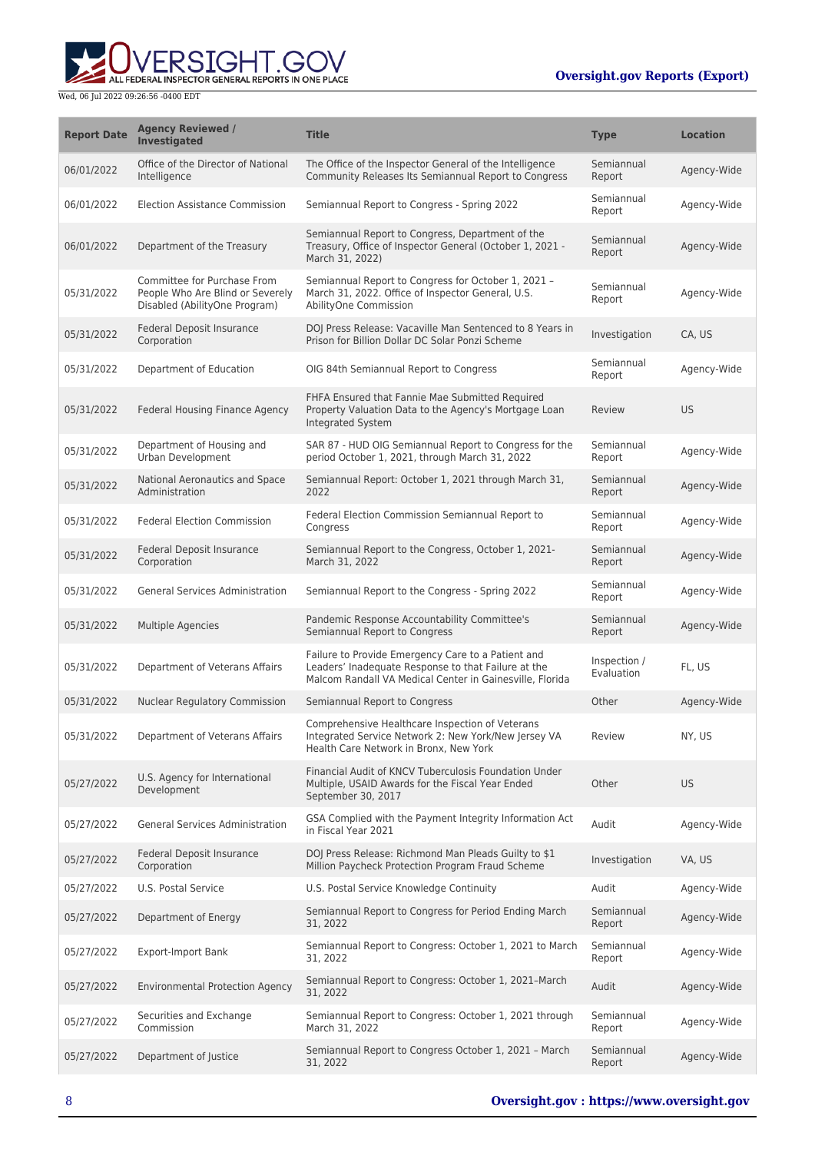

| <b>Report Date</b> | <b>Agency Reviewed /</b><br><b>Investigated</b>                                                  | <b>Title</b>                                                                                                                                                          | <b>Type</b>                | <b>Location</b> |
|--------------------|--------------------------------------------------------------------------------------------------|-----------------------------------------------------------------------------------------------------------------------------------------------------------------------|----------------------------|-----------------|
| 06/01/2022         | Office of the Director of National<br>Intelligence                                               | The Office of the Inspector General of the Intelligence<br>Community Releases Its Semiannual Report to Congress                                                       | Semiannual<br>Report       | Agency-Wide     |
| 06/01/2022         | <b>Election Assistance Commission</b>                                                            | Semiannual Report to Congress - Spring 2022                                                                                                                           | Semiannual<br>Report       | Agency-Wide     |
| 06/01/2022         | Department of the Treasury                                                                       | Semiannual Report to Congress, Department of the<br>Treasury, Office of Inspector General (October 1, 2021 -<br>March 31, 2022)                                       | Semiannual<br>Report       | Agency-Wide     |
| 05/31/2022         | Committee for Purchase From<br>People Who Are Blind or Severely<br>Disabled (AbilityOne Program) | Semiannual Report to Congress for October 1, 2021 -<br>March 31, 2022. Office of Inspector General, U.S.<br>AbilityOne Commission                                     | Semiannual<br>Report       | Agency-Wide     |
| 05/31/2022         | Federal Deposit Insurance<br>Corporation                                                         | DOJ Press Release: Vacaville Man Sentenced to 8 Years in<br>Prison for Billion Dollar DC Solar Ponzi Scheme                                                           | Investigation              | CA, US          |
| 05/31/2022         | Department of Education                                                                          | OIG 84th Semiannual Report to Congress                                                                                                                                | Semiannual<br>Report       | Agency-Wide     |
| 05/31/2022         | Federal Housing Finance Agency                                                                   | FHFA Ensured that Fannie Mae Submitted Required<br>Property Valuation Data to the Agency's Mortgage Loan<br>Integrated System                                         | Review                     | <b>US</b>       |
| 05/31/2022         | Department of Housing and<br>Urban Development                                                   | SAR 87 - HUD OIG Semiannual Report to Congress for the<br>period October 1, 2021, through March 31, 2022                                                              | Semiannual<br>Report       | Agency-Wide     |
| 05/31/2022         | National Aeronautics and Space<br>Administration                                                 | Semiannual Report: October 1, 2021 through March 31,<br>2022                                                                                                          | Semiannual<br>Report       | Agency-Wide     |
| 05/31/2022         | <b>Federal Election Commission</b>                                                               | Federal Election Commission Semiannual Report to<br>Congress                                                                                                          | Semiannual<br>Report       | Agency-Wide     |
| 05/31/2022         | Federal Deposit Insurance<br>Corporation                                                         | Semiannual Report to the Congress, October 1, 2021-<br>March 31, 2022                                                                                                 | Semiannual<br>Report       | Agency-Wide     |
| 05/31/2022         | <b>General Services Administration</b>                                                           | Semiannual Report to the Congress - Spring 2022                                                                                                                       | Semiannual<br>Report       | Agency-Wide     |
| 05/31/2022         | <b>Multiple Agencies</b>                                                                         | Pandemic Response Accountability Committee's<br>Semiannual Report to Congress                                                                                         | Semiannual<br>Report       | Agency-Wide     |
| 05/31/2022         | Department of Veterans Affairs                                                                   | Failure to Provide Emergency Care to a Patient and<br>Leaders' Inadequate Response to that Failure at the<br>Malcom Randall VA Medical Center in Gainesville, Florida | Inspection /<br>Evaluation | FL, US          |
| 05/31/2022         | Nuclear Regulatory Commission                                                                    | Semiannual Report to Congress                                                                                                                                         | Other                      | Agency-Wide     |
| 05/31/2022         | Department of Veterans Affairs                                                                   | Comprehensive Healthcare Inspection of Veterans<br>Integrated Service Network 2: New York/New Jersey VA<br>Health Care Network in Bronx, New York                     | Review                     | NY, US          |
| 05/27/2022         | U.S. Agency for International<br>Development                                                     | Financial Audit of KNCV Tuberculosis Foundation Under<br>Multiple, USAID Awards for the Fiscal Year Ended<br>September 30, 2017                                       | Other                      | <b>US</b>       |
| 05/27/2022         | <b>General Services Administration</b>                                                           | GSA Complied with the Payment Integrity Information Act<br>in Fiscal Year 2021                                                                                        | Audit                      | Agency-Wide     |
| 05/27/2022         | Federal Deposit Insurance<br>Corporation                                                         | DOJ Press Release: Richmond Man Pleads Guilty to \$1<br>Million Paycheck Protection Program Fraud Scheme                                                              | Investigation              | VA, US          |
| 05/27/2022         | U.S. Postal Service                                                                              | U.S. Postal Service Knowledge Continuity                                                                                                                              | Audit                      | Agency-Wide     |
| 05/27/2022         | Department of Energy                                                                             | Semiannual Report to Congress for Period Ending March<br>31, 2022                                                                                                     | Semiannual<br>Report       | Agency-Wide     |
| 05/27/2022         | <b>Export-Import Bank</b>                                                                        | Semiannual Report to Congress: October 1, 2021 to March<br>31, 2022                                                                                                   | Semiannual<br>Report       | Agency-Wide     |
| 05/27/2022         | <b>Environmental Protection Agency</b>                                                           | Semiannual Report to Congress: October 1, 2021-March<br>31, 2022                                                                                                      | Audit                      | Agency-Wide     |
| 05/27/2022         | Securities and Exchange<br>Commission                                                            | Semiannual Report to Congress: October 1, 2021 through<br>March 31, 2022                                                                                              | Semiannual<br>Report       | Agency-Wide     |
| 05/27/2022         | Department of Justice                                                                            | Semiannual Report to Congress October 1, 2021 - March<br>31, 2022                                                                                                     | Semiannual<br>Report       | Agency-Wide     |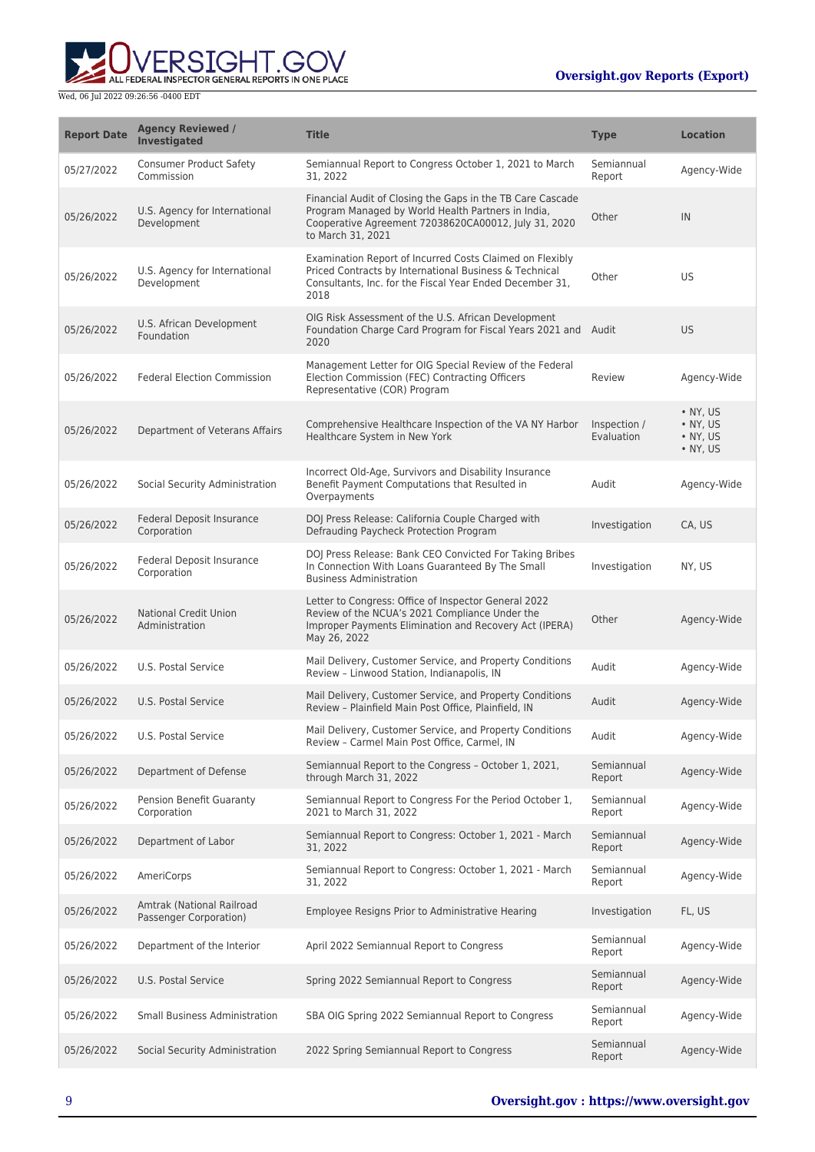

| <b>Report Date</b> | <b>Agency Reviewed /</b><br><b>Investigated</b>     | <b>Title</b>                                                                                                                                                                                  | <b>Type</b>                | <b>Location</b>                                                    |
|--------------------|-----------------------------------------------------|-----------------------------------------------------------------------------------------------------------------------------------------------------------------------------------------------|----------------------------|--------------------------------------------------------------------|
| 05/27/2022         | <b>Consumer Product Safety</b><br>Commission        | Semiannual Report to Congress October 1, 2021 to March<br>31, 2022                                                                                                                            | Semiannual<br>Report       | Agency-Wide                                                        |
| 05/26/2022         | U.S. Agency for International<br>Development        | Financial Audit of Closing the Gaps in the TB Care Cascade<br>Program Managed by World Health Partners in India,<br>Cooperative Agreement 72038620CA00012, July 31, 2020<br>to March 31, 2021 | Other                      | IN                                                                 |
| 05/26/2022         | U.S. Agency for International<br>Development        | Examination Report of Incurred Costs Claimed on Flexibly<br>Priced Contracts by International Business & Technical<br>Consultants, Inc. for the Fiscal Year Ended December 31,<br>2018        | Other                      | <b>US</b>                                                          |
| 05/26/2022         | U.S. African Development<br>Foundation              | OIG Risk Assessment of the U.S. African Development<br>Foundation Charge Card Program for Fiscal Years 2021 and Audit<br>2020                                                                 |                            | <b>US</b>                                                          |
| 05/26/2022         | <b>Federal Election Commission</b>                  | Management Letter for OIG Special Review of the Federal<br>Election Commission (FEC) Contracting Officers<br>Representative (COR) Program                                                     | Review                     | Agency-Wide                                                        |
| 05/26/2022         | Department of Veterans Affairs                      | Comprehensive Healthcare Inspection of the VA NY Harbor<br>Healthcare System in New York                                                                                                      | Inspection /<br>Evaluation | $\cdot$ NY. US<br>• NY, US<br>$\bullet$ NY, US<br>$\bullet$ NY, US |
| 05/26/2022         | Social Security Administration                      | Incorrect Old-Age, Survivors and Disability Insurance<br>Benefit Payment Computations that Resulted in<br>Overpayments                                                                        | Audit                      | Agency-Wide                                                        |
| 05/26/2022         | Federal Deposit Insurance<br>Corporation            | DOJ Press Release: California Couple Charged with<br>Defrauding Paycheck Protection Program                                                                                                   | Investigation              | CA, US                                                             |
| 05/26/2022         | Federal Deposit Insurance<br>Corporation            | DOJ Press Release: Bank CEO Convicted For Taking Bribes<br>In Connection With Loans Guaranteed By The Small<br><b>Business Administration</b>                                                 | Investigation              | NY, US                                                             |
| 05/26/2022         | <b>National Credit Union</b><br>Administration      | Letter to Congress: Office of Inspector General 2022<br>Review of the NCUA's 2021 Compliance Under the<br>Improper Payments Elimination and Recovery Act (IPERA)<br>May 26, 2022              | Other                      | Agency-Wide                                                        |
| 05/26/2022         | U.S. Postal Service                                 | Mail Delivery, Customer Service, and Property Conditions<br>Review - Linwood Station, Indianapolis, IN                                                                                        | Audit                      | Agency-Wide                                                        |
| 05/26/2022         | U.S. Postal Service                                 | Mail Delivery, Customer Service, and Property Conditions<br>Review - Plainfield Main Post Office, Plainfield, IN                                                                              | Audit                      | Agency-Wide                                                        |
| 05/26/2022         | U.S. Postal Service                                 | Mail Delivery, Customer Service, and Property Conditions<br>Review - Carmel Main Post Office, Carmel, IN                                                                                      | Audit                      | Agency-Wide                                                        |
| 05/26/2022         | Department of Defense                               | Semiannual Report to the Congress - October 1, 2021,<br>through March 31, 2022                                                                                                                | Semiannual<br>Report       | Agency-Wide                                                        |
| 05/26/2022         | Pension Benefit Guaranty<br>Corporation             | Semiannual Report to Congress For the Period October 1,<br>2021 to March 31, 2022                                                                                                             | Semiannual<br>Report       | Agency-Wide                                                        |
| 05/26/2022         | Department of Labor                                 | Semiannual Report to Congress: October 1, 2021 - March<br>31, 2022                                                                                                                            | Semiannual<br>Report       | Agency-Wide                                                        |
| 05/26/2022         | <b>AmeriCorps</b>                                   | Semiannual Report to Congress: October 1, 2021 - March<br>31, 2022                                                                                                                            | Semiannual<br>Report       | Agency-Wide                                                        |
| 05/26/2022         | Amtrak (National Railroad<br>Passenger Corporation) | Employee Resigns Prior to Administrative Hearing                                                                                                                                              | Investigation              | FL, US                                                             |
| 05/26/2022         | Department of the Interior                          | April 2022 Semiannual Report to Congress                                                                                                                                                      | Semiannual<br>Report       | Agency-Wide                                                        |
| 05/26/2022         | U.S. Postal Service                                 | Spring 2022 Semiannual Report to Congress                                                                                                                                                     | Semiannual<br>Report       | Agency-Wide                                                        |
| 05/26/2022         | <b>Small Business Administration</b>                | SBA OIG Spring 2022 Semiannual Report to Congress                                                                                                                                             | Semiannual<br>Report       | Agency-Wide                                                        |
| 05/26/2022         | Social Security Administration                      | 2022 Spring Semiannual Report to Congress                                                                                                                                                     | Semiannual<br>Report       | Agency-Wide                                                        |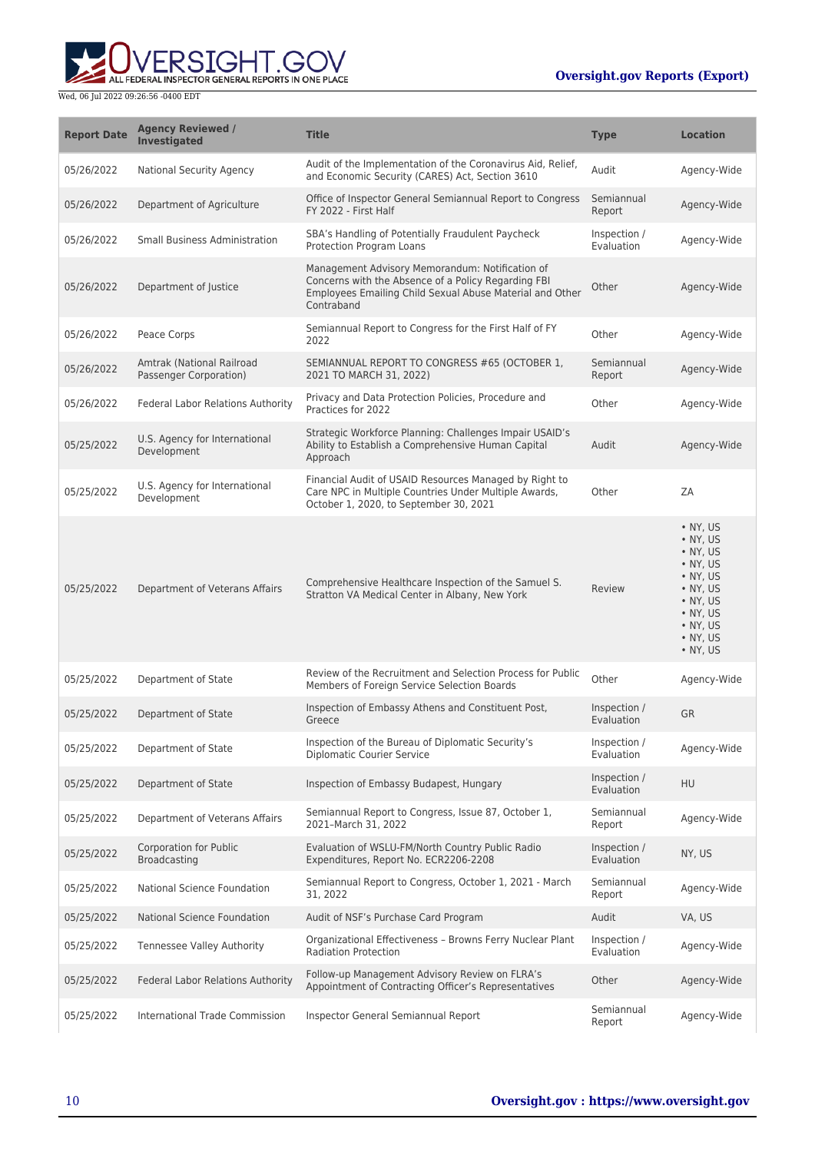

| <b>Report Date</b> | <b>Agency Reviewed /</b><br><b>Investigated</b>     | <b>Title</b>                                                                                                                                                                     | <b>Type</b>                | <b>Location</b>                                                                                                                                                  |
|--------------------|-----------------------------------------------------|----------------------------------------------------------------------------------------------------------------------------------------------------------------------------------|----------------------------|------------------------------------------------------------------------------------------------------------------------------------------------------------------|
| 05/26/2022         | <b>National Security Agency</b>                     | Audit of the Implementation of the Coronavirus Aid, Relief,<br>and Economic Security (CARES) Act, Section 3610                                                                   | Audit                      | Agency-Wide                                                                                                                                                      |
| 05/26/2022         | Department of Agriculture                           | Office of Inspector General Semiannual Report to Congress<br>FY 2022 - First Half                                                                                                | Semiannual<br>Report       | Agency-Wide                                                                                                                                                      |
| 05/26/2022         | <b>Small Business Administration</b>                | SBA's Handling of Potentially Fraudulent Paycheck<br>Protection Program Loans                                                                                                    | Inspection /<br>Evaluation | Agency-Wide                                                                                                                                                      |
| 05/26/2022         | Department of Justice                               | Management Advisory Memorandum: Notification of<br>Concerns with the Absence of a Policy Regarding FBI<br>Employees Emailing Child Sexual Abuse Material and Other<br>Contraband | Other                      | Agency-Wide                                                                                                                                                      |
| 05/26/2022         | Peace Corps                                         | Semiannual Report to Congress for the First Half of FY<br>2022                                                                                                                   | Other                      | Agency-Wide                                                                                                                                                      |
| 05/26/2022         | Amtrak (National Railroad<br>Passenger Corporation) | SEMIANNUAL REPORT TO CONGRESS #65 (OCTOBER 1,<br>2021 TO MARCH 31, 2022)                                                                                                         | Semiannual<br>Report       | Agency-Wide                                                                                                                                                      |
| 05/26/2022         | <b>Federal Labor Relations Authority</b>            | Privacy and Data Protection Policies, Procedure and<br>Practices for 2022                                                                                                        | Other                      | Agency-Wide                                                                                                                                                      |
| 05/25/2022         | U.S. Agency for International<br>Development        | Strategic Workforce Planning: Challenges Impair USAID's<br>Ability to Establish a Comprehensive Human Capital<br>Approach                                                        | Audit                      | Agency-Wide                                                                                                                                                      |
| 05/25/2022         | U.S. Agency for International<br>Development        | Financial Audit of USAID Resources Managed by Right to<br>Care NPC in Multiple Countries Under Multiple Awards,<br>October 1, 2020, to September 30, 2021                        | Other                      | ZA                                                                                                                                                               |
| 05/25/2022         | Department of Veterans Affairs                      | Comprehensive Healthcare Inspection of the Samuel S.<br>Stratton VA Medical Center in Albany, New York                                                                           | Review                     | • NY, US<br>• NY, US<br>• NY, US<br>$\bullet$ NY, US<br>• NY, US<br>$\bullet$ NY, US<br>• NY, US<br>$\bullet$ NY, US<br>• NY, US<br>$\bullet$ NY, US<br>• NY, US |
| 05/25/2022         | Department of State                                 | Review of the Recruitment and Selection Process for Public<br>Members of Foreign Service Selection Boards                                                                        | Other                      | Agency-Wide                                                                                                                                                      |
| 05/25/2022         | Department of State                                 | Inspection of Embassy Athens and Constituent Post,<br>Greece                                                                                                                     | Inspection /<br>Evaluation | <b>GR</b>                                                                                                                                                        |
| 05/25/2022         | Department of State                                 | Inspection of the Bureau of Diplomatic Security's<br><b>Diplomatic Courier Service</b>                                                                                           | Inspection /<br>Evaluation | Agency-Wide                                                                                                                                                      |
| 05/25/2022         | Department of State                                 | Inspection of Embassy Budapest, Hungary                                                                                                                                          | Inspection /<br>Evaluation | HU                                                                                                                                                               |
| 05/25/2022         | Department of Veterans Affairs                      | Semiannual Report to Congress, Issue 87, October 1,<br>2021-March 31, 2022                                                                                                       | Semiannual<br>Report       | Agency-Wide                                                                                                                                                      |
| 05/25/2022         | <b>Corporation for Public</b><br>Broadcasting       | Evaluation of WSLU-FM/North Country Public Radio<br>Expenditures, Report No. ECR2206-2208                                                                                        | Inspection /<br>Evaluation | NY, US                                                                                                                                                           |
| 05/25/2022         | National Science Foundation                         | Semiannual Report to Congress, October 1, 2021 - March<br>31, 2022                                                                                                               | Semiannual<br>Report       | Agency-Wide                                                                                                                                                      |
| 05/25/2022         | National Science Foundation                         | Audit of NSF's Purchase Card Program                                                                                                                                             | Audit                      | VA, US                                                                                                                                                           |
| 05/25/2022         | <b>Tennessee Valley Authority</b>                   | Organizational Effectiveness - Browns Ferry Nuclear Plant<br><b>Radiation Protection</b>                                                                                         | Inspection /<br>Evaluation | Agency-Wide                                                                                                                                                      |
| 05/25/2022         | Federal Labor Relations Authority                   | Follow-up Management Advisory Review on FLRA's<br>Appointment of Contracting Officer's Representatives                                                                           | Other                      | Agency-Wide                                                                                                                                                      |
| 05/25/2022         | International Trade Commission                      | Inspector General Semiannual Report                                                                                                                                              | Semiannual<br>Report       | Agency-Wide                                                                                                                                                      |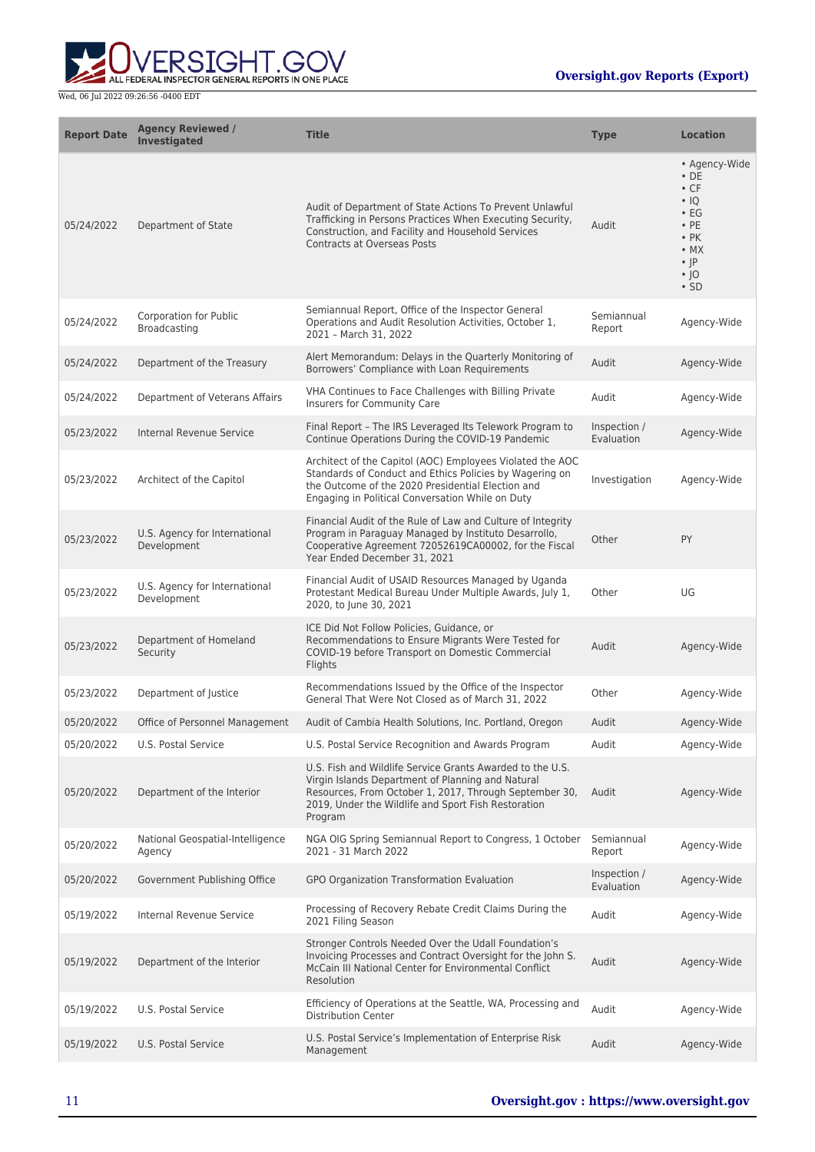

| <b>Report Date</b> | <b>Agency Reviewed /</b><br><b>Investigated</b> | <b>Title</b>                                                                                                                                                                                                                               | <b>Type</b>                | <b>Location</b>                                                                                                                                             |
|--------------------|-------------------------------------------------|--------------------------------------------------------------------------------------------------------------------------------------------------------------------------------------------------------------------------------------------|----------------------------|-------------------------------------------------------------------------------------------------------------------------------------------------------------|
| 05/24/2022         | Department of State                             | Audit of Department of State Actions To Prevent Unlawful<br>Trafficking in Persons Practices When Executing Security,<br>Construction, and Facility and Household Services<br><b>Contracts at Overseas Posts</b>                           | Audit                      | • Agency-Wide<br>$\cdot$ DE<br>$\cdot$ CF<br>$\cdot$ IQ<br>$\cdot$ EG<br>$\cdot$ PE<br>$\cdot$ PK<br>$\bullet$ MX<br>$\cdot$  P<br>$\cdot$  O<br>$\cdot$ SD |
| 05/24/2022         | Corporation for Public<br>Broadcasting          | Semiannual Report, Office of the Inspector General<br>Operations and Audit Resolution Activities, October 1,<br>2021 - March 31, 2022                                                                                                      | Semiannual<br>Report       | Agency-Wide                                                                                                                                                 |
| 05/24/2022         | Department of the Treasury                      | Alert Memorandum: Delays in the Quarterly Monitoring of<br>Borrowers' Compliance with Loan Requirements                                                                                                                                    | Audit                      | Agency-Wide                                                                                                                                                 |
| 05/24/2022         | Department of Veterans Affairs                  | VHA Continues to Face Challenges with Billing Private<br>Insurers for Community Care                                                                                                                                                       | Audit                      | Agency-Wide                                                                                                                                                 |
| 05/23/2022         | Internal Revenue Service                        | Final Report - The IRS Leveraged Its Telework Program to<br>Continue Operations During the COVID-19 Pandemic                                                                                                                               | Inspection /<br>Evaluation | Agency-Wide                                                                                                                                                 |
| 05/23/2022         | Architect of the Capitol                        | Architect of the Capitol (AOC) Employees Violated the AOC<br>Standards of Conduct and Ethics Policies by Wagering on<br>the Outcome of the 2020 Presidential Election and<br>Engaging in Political Conversation While on Duty              | Investigation              | Agency-Wide                                                                                                                                                 |
| 05/23/2022         | U.S. Agency for International<br>Development    | Financial Audit of the Rule of Law and Culture of Integrity<br>Program in Paraguay Managed by Instituto Desarrollo,<br>Cooperative Agreement 72052619CA00002, for the Fiscal<br>Year Ended December 31, 2021                               | Other                      | PY                                                                                                                                                          |
| 05/23/2022         | U.S. Agency for International<br>Development    | Financial Audit of USAID Resources Managed by Uganda<br>Protestant Medical Bureau Under Multiple Awards, July 1,<br>2020, to June 30, 2021                                                                                                 | Other                      | UG                                                                                                                                                          |
| 05/23/2022         | Department of Homeland<br>Security              | ICE Did Not Follow Policies, Guidance, or<br>Recommendations to Ensure Migrants Were Tested for<br>COVID-19 before Transport on Domestic Commercial<br>Flights                                                                             | Audit                      | Agency-Wide                                                                                                                                                 |
| 05/23/2022         | Department of Justice                           | Recommendations Issued by the Office of the Inspector<br>General That Were Not Closed as of March 31, 2022                                                                                                                                 | Other                      | Agency-Wide                                                                                                                                                 |
| 05/20/2022         | Office of Personnel Management                  | Audit of Cambia Health Solutions, Inc. Portland, Oregon                                                                                                                                                                                    | Audit                      | Agency-Wide                                                                                                                                                 |
| 05/20/2022         | U.S. Postal Service                             | U.S. Postal Service Recognition and Awards Program                                                                                                                                                                                         | Audit                      | Agency-Wide                                                                                                                                                 |
| 05/20/2022         | Department of the Interior                      | U.S. Fish and Wildlife Service Grants Awarded to the U.S.<br>Virgin Islands Department of Planning and Natural<br>Resources, From October 1, 2017, Through September 30,<br>2019, Under the Wildlife and Sport Fish Restoration<br>Program | Audit                      | Agency-Wide                                                                                                                                                 |
| 05/20/2022         | National Geospatial-Intelligence<br>Agency      | NGA OIG Spring Semiannual Report to Congress, 1 October<br>2021 - 31 March 2022                                                                                                                                                            | Semiannual<br>Report       | Agency-Wide                                                                                                                                                 |
| 05/20/2022         | Government Publishing Office                    | GPO Organization Transformation Evaluation                                                                                                                                                                                                 | Inspection /<br>Evaluation | Agency-Wide                                                                                                                                                 |
| 05/19/2022         | Internal Revenue Service                        | Processing of Recovery Rebate Credit Claims During the<br>2021 Filing Season                                                                                                                                                               | Audit                      | Agency-Wide                                                                                                                                                 |
| 05/19/2022         | Department of the Interior                      | Stronger Controls Needed Over the Udall Foundation's<br>Invoicing Processes and Contract Oversight for the John S.<br>McCain III National Center for Environmental Conflict<br>Resolution                                                  | Audit                      | Agency-Wide                                                                                                                                                 |
| 05/19/2022         | U.S. Postal Service                             | Efficiency of Operations at the Seattle, WA, Processing and<br><b>Distribution Center</b>                                                                                                                                                  | Audit                      | Agency-Wide                                                                                                                                                 |
| 05/19/2022         | U.S. Postal Service                             | U.S. Postal Service's Implementation of Enterprise Risk<br>Management                                                                                                                                                                      | Audit                      | Agency-Wide                                                                                                                                                 |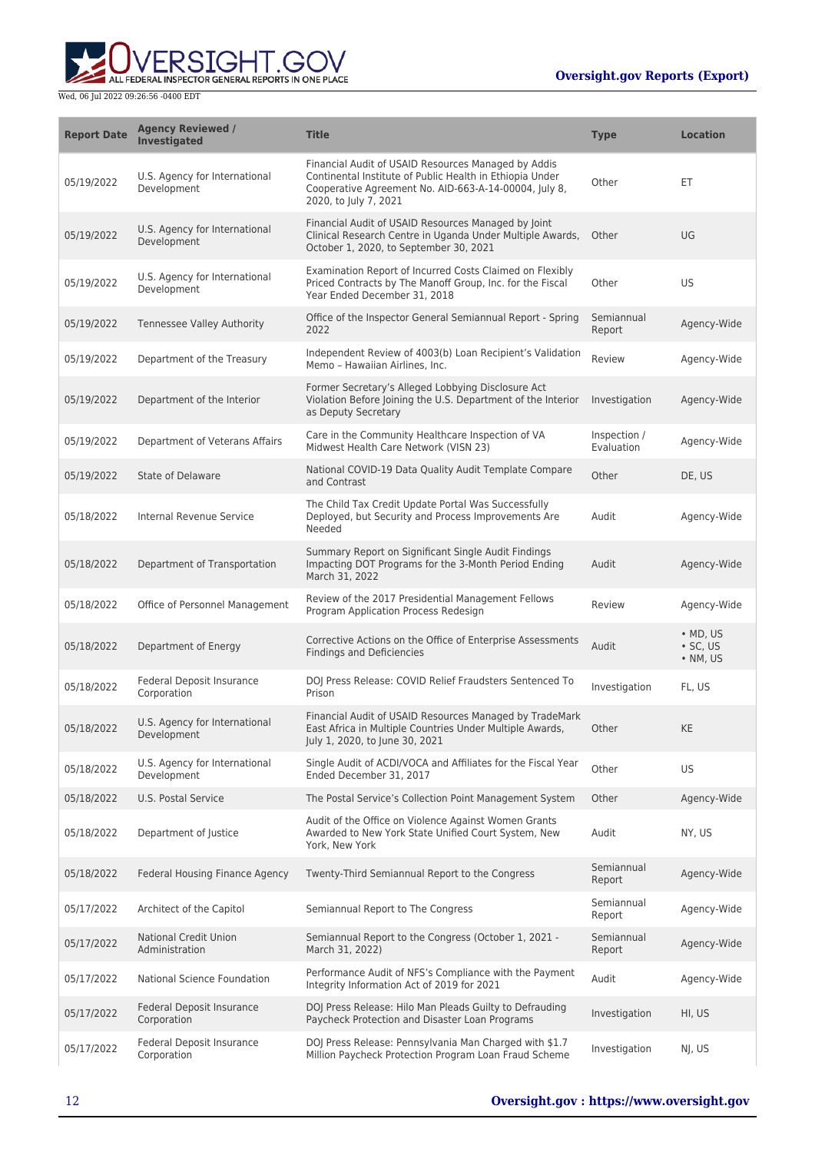

| <b>Report Date</b> | <b>Agency Reviewed /</b><br><b>Investigated</b> | <b>Title</b>                                                                                                                                                                                      | <b>Type</b>                | <b>Location</b>                                        |
|--------------------|-------------------------------------------------|---------------------------------------------------------------------------------------------------------------------------------------------------------------------------------------------------|----------------------------|--------------------------------------------------------|
| 05/19/2022         | U.S. Agency for International<br>Development    | Financial Audit of USAID Resources Managed by Addis<br>Continental Institute of Public Health in Ethiopia Under<br>Cooperative Agreement No. AID-663-A-14-00004, July 8,<br>2020, to July 7, 2021 | Other                      | ЕT                                                     |
| 05/19/2022         | U.S. Agency for International<br>Development    | Financial Audit of USAID Resources Managed by Joint<br>Clinical Research Centre in Uganda Under Multiple Awards,<br>October 1, 2020, to September 30, 2021                                        | Other                      | UG                                                     |
| 05/19/2022         | U.S. Agency for International<br>Development    | Examination Report of Incurred Costs Claimed on Flexibly<br>Priced Contracts by The Manoff Group, Inc. for the Fiscal<br>Year Ended December 31, 2018                                             | Other                      | <b>US</b>                                              |
| 05/19/2022         | Tennessee Valley Authority                      | Office of the Inspector General Semiannual Report - Spring<br>2022                                                                                                                                | Semiannual<br>Report       | Agency-Wide                                            |
| 05/19/2022         | Department of the Treasury                      | Independent Review of 4003(b) Loan Recipient's Validation<br>Memo - Hawaiian Airlines, Inc.                                                                                                       | Review                     | Agency-Wide                                            |
| 05/19/2022         | Department of the Interior                      | Former Secretary's Alleged Lobbying Disclosure Act<br>Violation Before Joining the U.S. Department of the Interior<br>as Deputy Secretary                                                         | Investigation              | Agency-Wide                                            |
| 05/19/2022         | Department of Veterans Affairs                  | Care in the Community Healthcare Inspection of VA<br>Midwest Health Care Network (VISN 23)                                                                                                        | Inspection /<br>Evaluation | Agency-Wide                                            |
| 05/19/2022         | State of Delaware                               | National COVID-19 Data Quality Audit Template Compare<br>and Contrast                                                                                                                             | Other                      | DE, US                                                 |
| 05/18/2022         | <b>Internal Revenue Service</b>                 | The Child Tax Credit Update Portal Was Successfully<br>Deployed, but Security and Process Improvements Are<br>Needed                                                                              | Audit                      | Agency-Wide                                            |
| 05/18/2022         | Department of Transportation                    | Summary Report on Significant Single Audit Findings<br>Impacting DOT Programs for the 3-Month Period Ending<br>March 31, 2022                                                                     | Audit                      | Agency-Wide                                            |
| 05/18/2022         | Office of Personnel Management                  | Review of the 2017 Presidential Management Fellows<br>Program Application Process Redesign                                                                                                        | Review                     | Agency-Wide                                            |
| 05/18/2022         | Department of Energy                            | Corrective Actions on the Office of Enterprise Assessments<br><b>Findings and Deficiencies</b>                                                                                                    | Audit                      | $\bullet$ MD, US<br>$\cdot$ SC, US<br>$\bullet$ NM, US |
| 05/18/2022         | Federal Deposit Insurance<br>Corporation        | DOJ Press Release: COVID Relief Fraudsters Sentenced To<br>Prison                                                                                                                                 | Investigation              | FL, US                                                 |
| 05/18/2022         | U.S. Agency for International<br>Development    | Financial Audit of USAID Resources Managed by TradeMark<br>East Africa in Multiple Countries Under Multiple Awards,<br>July 1, 2020, to June 30, 2021                                             | Other                      | <b>KE</b>                                              |
| 05/18/2022         | U.S. Agency for International<br>Development    | Single Audit of ACDI/VOCA and Affiliates for the Fiscal Year<br>Ended December 31, 2017                                                                                                           | Other                      | <b>US</b>                                              |
| 05/18/2022         | U.S. Postal Service                             | The Postal Service's Collection Point Management System                                                                                                                                           | Other                      | Agency-Wide                                            |
| 05/18/2022         | Department of Justice                           | Audit of the Office on Violence Against Women Grants<br>Awarded to New York State Unified Court System, New<br>York, New York                                                                     | Audit                      | NY, US                                                 |
| 05/18/2022         | Federal Housing Finance Agency                  | Twenty-Third Semiannual Report to the Congress                                                                                                                                                    | Semiannual<br>Report       | Agency-Wide                                            |
| 05/17/2022         | Architect of the Capitol                        | Semiannual Report to The Congress                                                                                                                                                                 | Semiannual<br>Report       | Agency-Wide                                            |
| 05/17/2022         | <b>National Credit Union</b><br>Administration  | Semiannual Report to the Congress (October 1, 2021 -<br>March 31, 2022)                                                                                                                           | Semiannual<br>Report       | Agency-Wide                                            |
| 05/17/2022         | National Science Foundation                     | Performance Audit of NFS's Compliance with the Payment<br>Integrity Information Act of 2019 for 2021                                                                                              | Audit                      | Agency-Wide                                            |
| 05/17/2022         | Federal Deposit Insurance<br>Corporation        | DOJ Press Release: Hilo Man Pleads Guilty to Defrauding<br>Paycheck Protection and Disaster Loan Programs                                                                                         | Investigation              | HI, US                                                 |
| 05/17/2022         | Federal Deposit Insurance<br>Corporation        | DOJ Press Release: Pennsylvania Man Charged with \$1.7<br>Million Paycheck Protection Program Loan Fraud Scheme                                                                                   | Investigation              | NJ, US                                                 |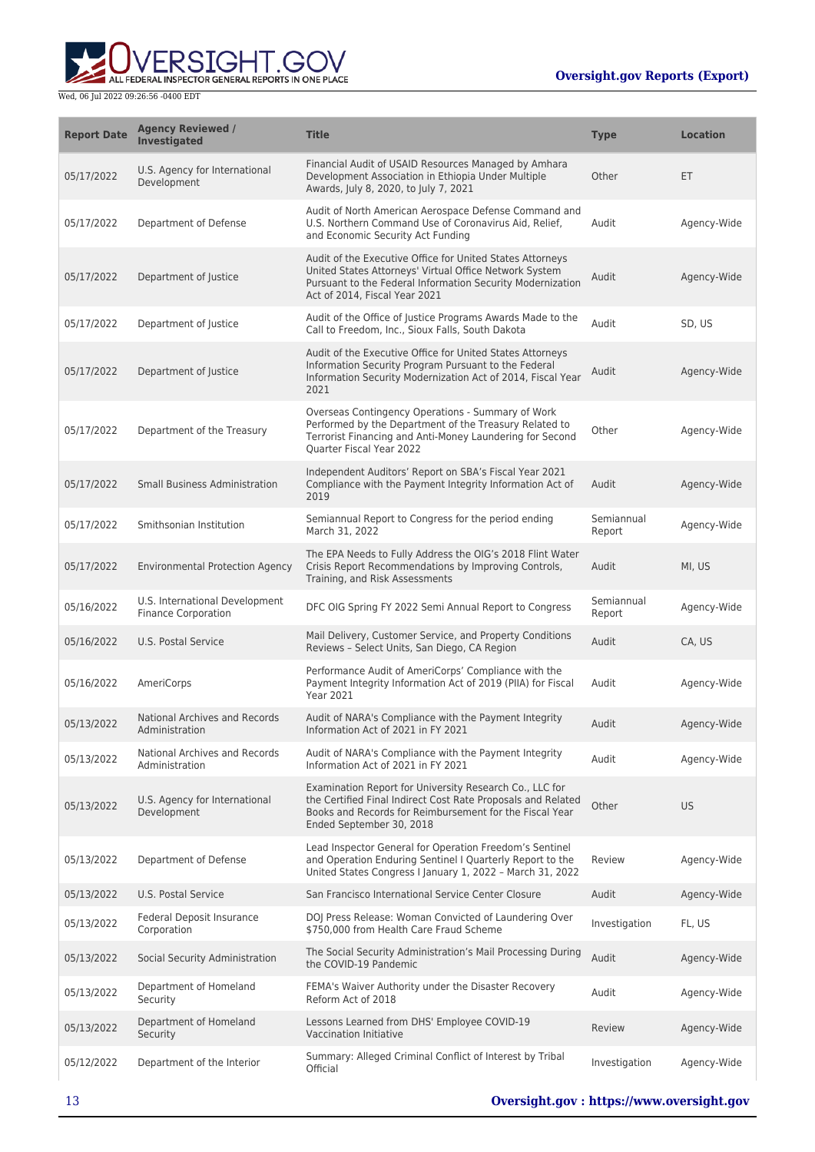

| <b>Report Date</b> | <b>Agency Reviewed /</b><br>Investigated                     | <b>Title</b>                                                                                                                                                                                                       | <b>Type</b>          | <b>Location</b> |
|--------------------|--------------------------------------------------------------|--------------------------------------------------------------------------------------------------------------------------------------------------------------------------------------------------------------------|----------------------|-----------------|
| 05/17/2022         | U.S. Agency for International<br>Development                 | Financial Audit of USAID Resources Managed by Amhara<br>Development Association in Ethiopia Under Multiple<br>Awards, July 8, 2020, to July 7, 2021                                                                | Other                | ET              |
| 05/17/2022         | Department of Defense                                        | Audit of North American Aerospace Defense Command and<br>U.S. Northern Command Use of Coronavirus Aid, Relief,<br>and Economic Security Act Funding                                                                | Audit                | Agency-Wide     |
| 05/17/2022         | Department of Justice                                        | Audit of the Executive Office for United States Attorneys<br>United States Attorneys' Virtual Office Network System<br>Pursuant to the Federal Information Security Modernization<br>Act of 2014. Fiscal Year 2021 | Audit                | Agency-Wide     |
| 05/17/2022         | Department of Justice                                        | Audit of the Office of Justice Programs Awards Made to the<br>Call to Freedom, Inc., Sioux Falls, South Dakota                                                                                                     | Audit                | SD, US          |
| 05/17/2022         | Department of Justice                                        | Audit of the Executive Office for United States Attorneys<br>Information Security Program Pursuant to the Federal<br>Information Security Modernization Act of 2014, Fiscal Year<br>2021                           | Audit                | Agency-Wide     |
| 05/17/2022         | Department of the Treasury                                   | Overseas Contingency Operations - Summary of Work<br>Performed by the Department of the Treasury Related to<br>Terrorist Financing and Anti-Money Laundering for Second<br>Quarter Fiscal Year 2022                | Other                | Agency-Wide     |
| 05/17/2022         | <b>Small Business Administration</b>                         | Independent Auditors' Report on SBA's Fiscal Year 2021<br>Compliance with the Payment Integrity Information Act of<br>2019                                                                                         | Audit                | Agency-Wide     |
| 05/17/2022         | Smithsonian Institution                                      | Semiannual Report to Congress for the period ending<br>March 31, 2022                                                                                                                                              | Semiannual<br>Report | Agency-Wide     |
| 05/17/2022         | <b>Environmental Protection Agency</b>                       | The EPA Needs to Fully Address the OIG's 2018 Flint Water<br>Crisis Report Recommendations by Improving Controls,<br>Training, and Risk Assessments                                                                | Audit                | MI, US          |
| 05/16/2022         | U.S. International Development<br><b>Finance Corporation</b> | DFC OIG Spring FY 2022 Semi Annual Report to Congress                                                                                                                                                              | Semiannual<br>Report | Agency-Wide     |
| 05/16/2022         | U.S. Postal Service                                          | Mail Delivery, Customer Service, and Property Conditions<br>Reviews - Select Units, San Diego, CA Region                                                                                                           | Audit                | CA, US          |
| 05/16/2022         | AmeriCorps                                                   | Performance Audit of AmeriCorps' Compliance with the<br>Payment Integrity Information Act of 2019 (PIIA) for Fiscal<br><b>Year 2021</b>                                                                            | Audit                | Agency-Wide     |
| 05/13/2022         | National Archives and Records<br>Administration              | Audit of NARA's Compliance with the Payment Integrity<br>Information Act of 2021 in FY 2021                                                                                                                        | Audit                | Agency-Wide     |
| 05/13/2022         | National Archives and Records<br>Administration              | Audit of NARA's Compliance with the Payment Integrity<br>Information Act of 2021 in FY 2021                                                                                                                        | Audit                | Agency-Wide     |
| 05/13/2022         | U.S. Agency for International<br>Development                 | Examination Report for University Research Co., LLC for<br>the Certified Final Indirect Cost Rate Proposals and Related<br>Books and Records for Reimbursement for the Fiscal Year<br>Ended September 30, 2018     | Other                | <b>US</b>       |
| 05/13/2022         | Department of Defense                                        | Lead Inspector General for Operation Freedom's Sentinel<br>and Operation Enduring Sentinel I Quarterly Report to the<br>United States Congress I January 1, 2022 - March 31, 2022                                  | Review               | Agency-Wide     |
| 05/13/2022         | U.S. Postal Service                                          | San Francisco International Service Center Closure                                                                                                                                                                 | Audit                | Agency-Wide     |
| 05/13/2022         | Federal Deposit Insurance<br>Corporation                     | DOJ Press Release: Woman Convicted of Laundering Over<br>\$750,000 from Health Care Fraud Scheme                                                                                                                   | Investigation        | FL, US          |
| 05/13/2022         | Social Security Administration                               | The Social Security Administration's Mail Processing During<br>the COVID-19 Pandemic                                                                                                                               | Audit                | Agency-Wide     |
| 05/13/2022         | Department of Homeland<br>Security                           | FEMA's Waiver Authority under the Disaster Recovery<br>Reform Act of 2018                                                                                                                                          | Audit                | Agency-Wide     |
| 05/13/2022         | Department of Homeland<br>Security                           | Lessons Learned from DHS' Employee COVID-19<br>Vaccination Initiative                                                                                                                                              | Review               | Agency-Wide     |
| 05/12/2022         | Department of the Interior                                   | Summary: Alleged Criminal Conflict of Interest by Tribal<br>Official                                                                                                                                               | Investigation        | Agency-Wide     |